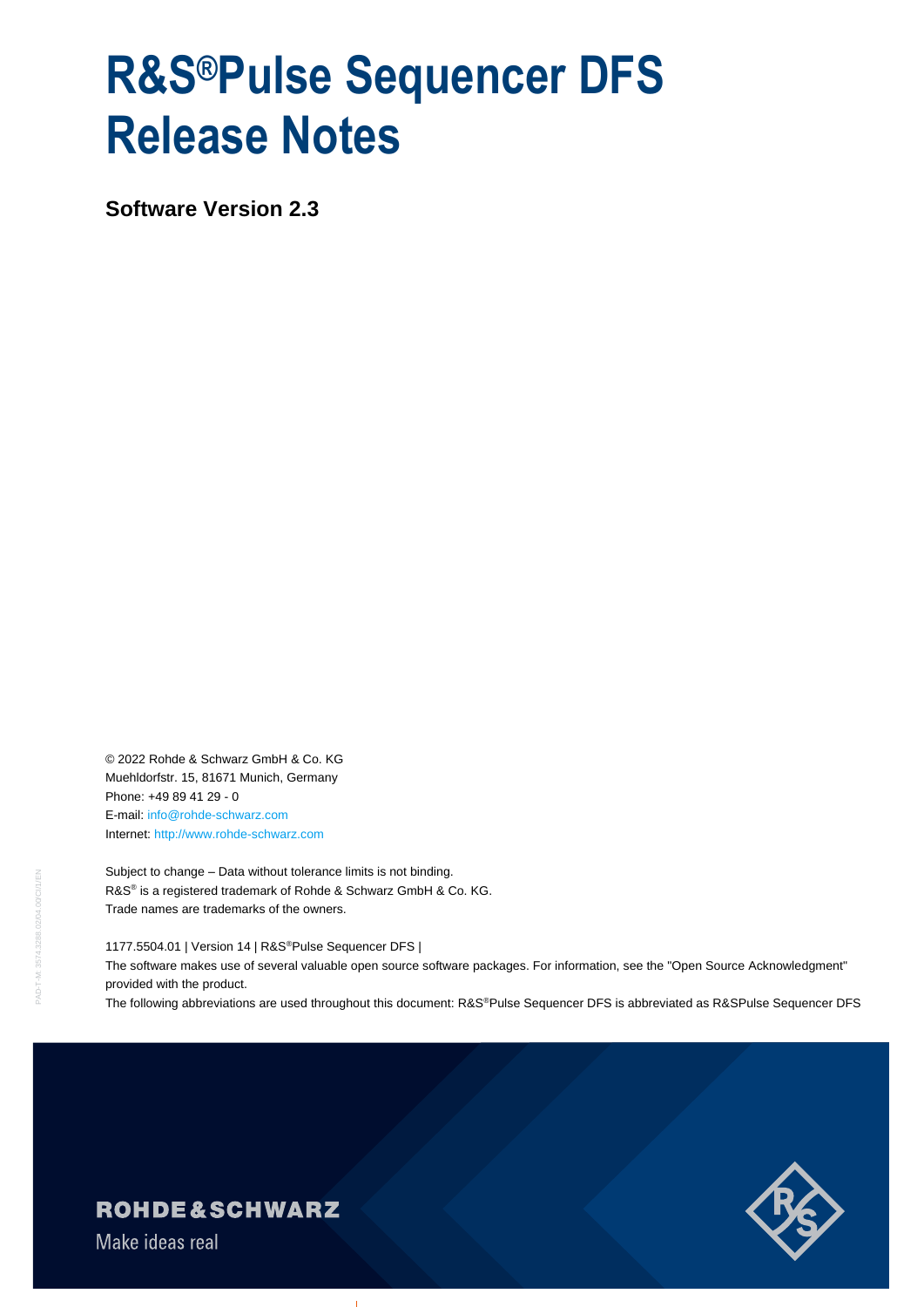# **R&S®Pulse Sequencer DFS Release Notes**

**Software Version 2.3**

© 2022 Rohde & Schwarz GmbH & Co. KG Muehldorfstr. 15, 81671 Munich, Germany Phone: +49 89 41 29 - 0 E-mail: [info@rohde-schwarz.com](mailto:info@rohde-schwarz.com) Internet[: http://www.rohde-schwarz.com](http://www.rohde-schwarz.com/)

Subject to change – Data without tolerance limits is not binding. R&S<sup>®</sup> is a registered trademark of Rohde & Schwarz GmbH & Co. KG. Trade names are trademarks of the owners.

1177.5504.01 | Version 14 | R&S®Pulse Sequencer DFS | The software makes use of several valuable open source software packages. For information, see the "Open Source Acknowledgment" provided with the product.

The following abbreviations are used throughout this document: R&S®Pulse Sequencer DFS is abbreviated as R&SPulse Sequencer DFS



## **ROHDE&SCHWARZ**

Make ideas real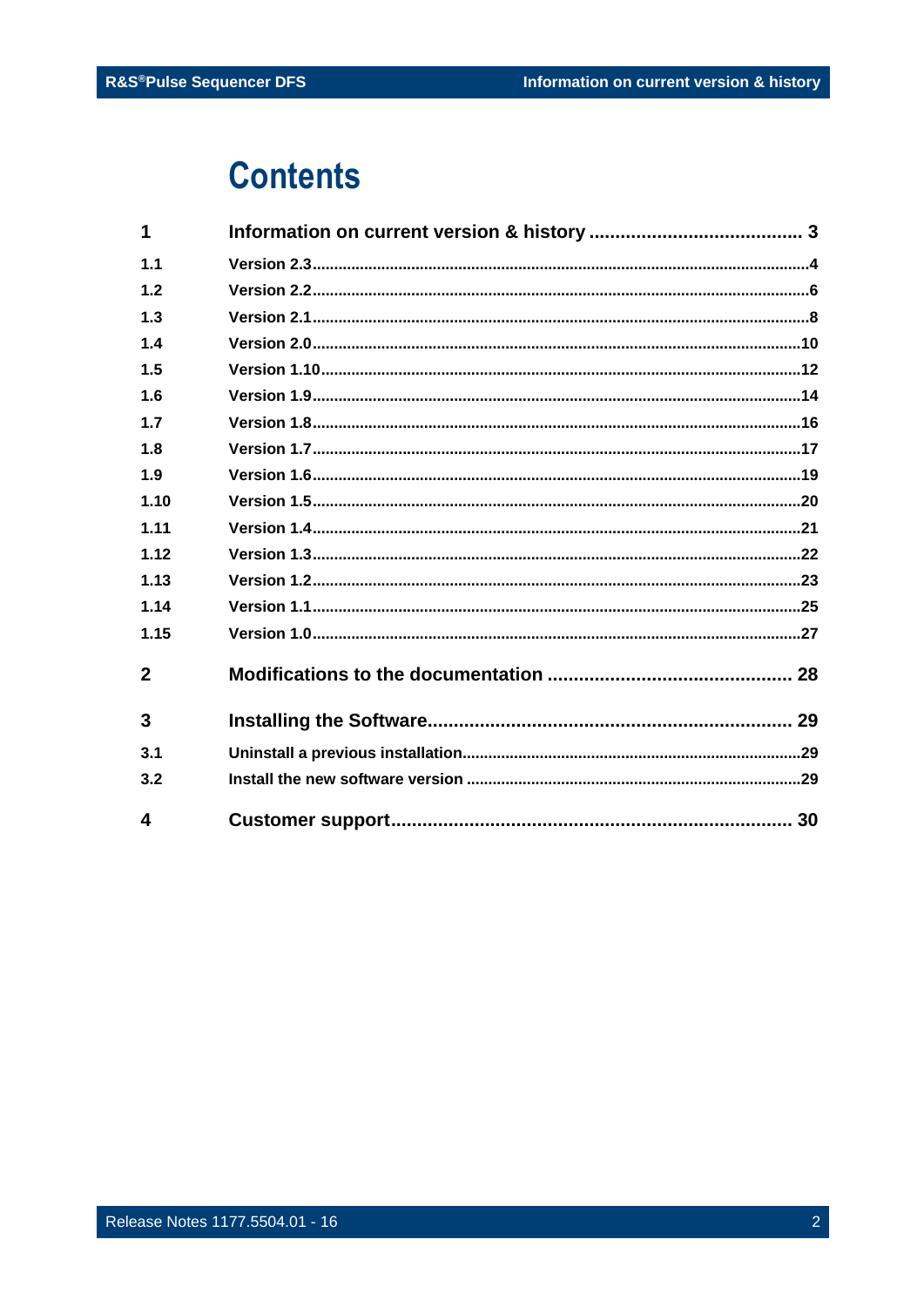# **Contents**

| 1            |  |
|--------------|--|
| 1.1          |  |
| 1.2          |  |
| 1.3          |  |
| 1.4          |  |
| 1.5          |  |
| 1.6          |  |
| 1.7          |  |
| 1.8          |  |
| 1.9          |  |
| 1.10         |  |
| 1.11         |  |
| 1.12         |  |
| 1.13         |  |
| 1.14         |  |
| 1.15         |  |
| $\mathbf{2}$ |  |
| 3            |  |
| 3.1          |  |
| 3.2          |  |
| 4            |  |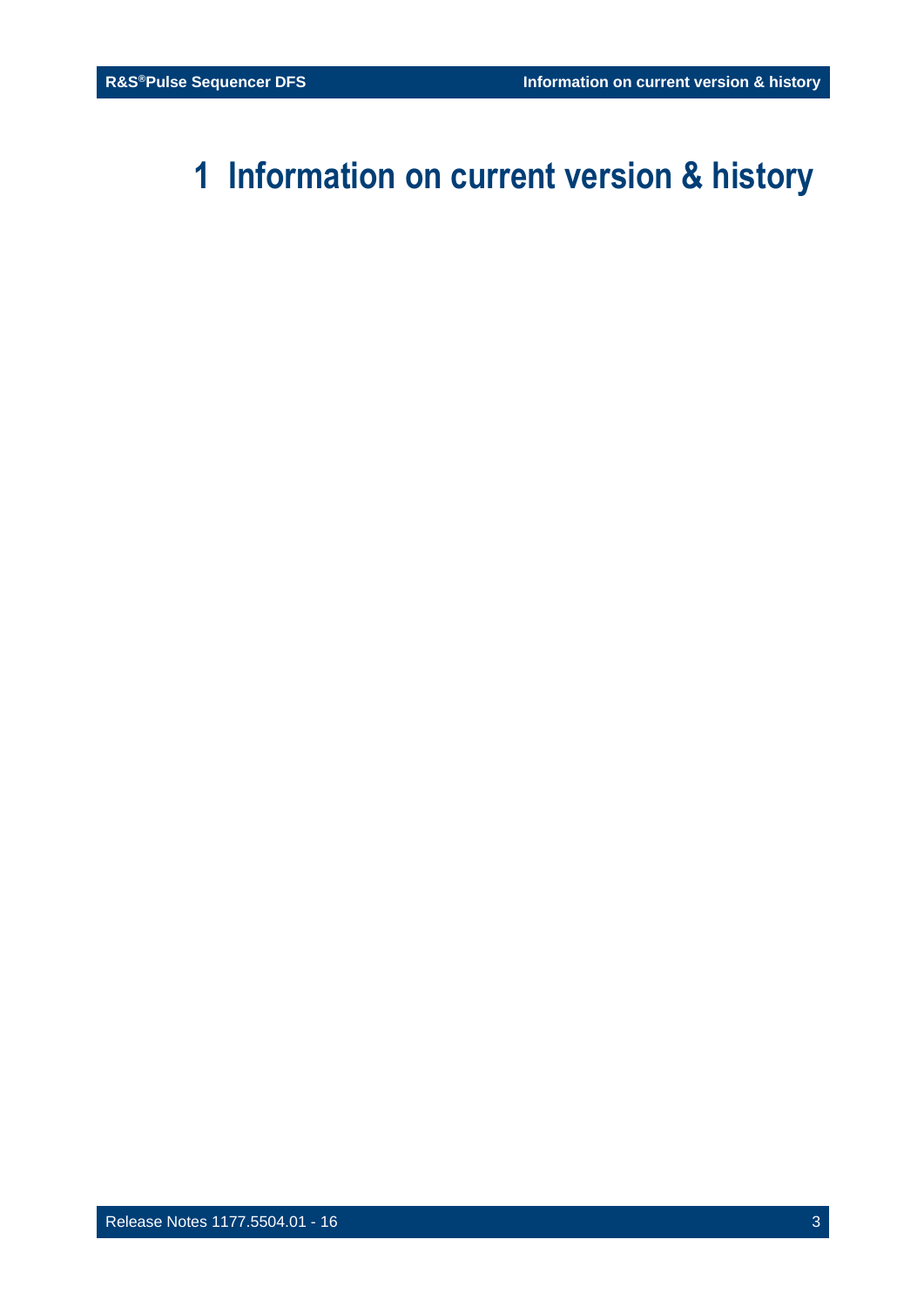# <span id="page-2-0"></span>**1 Information on current version & history**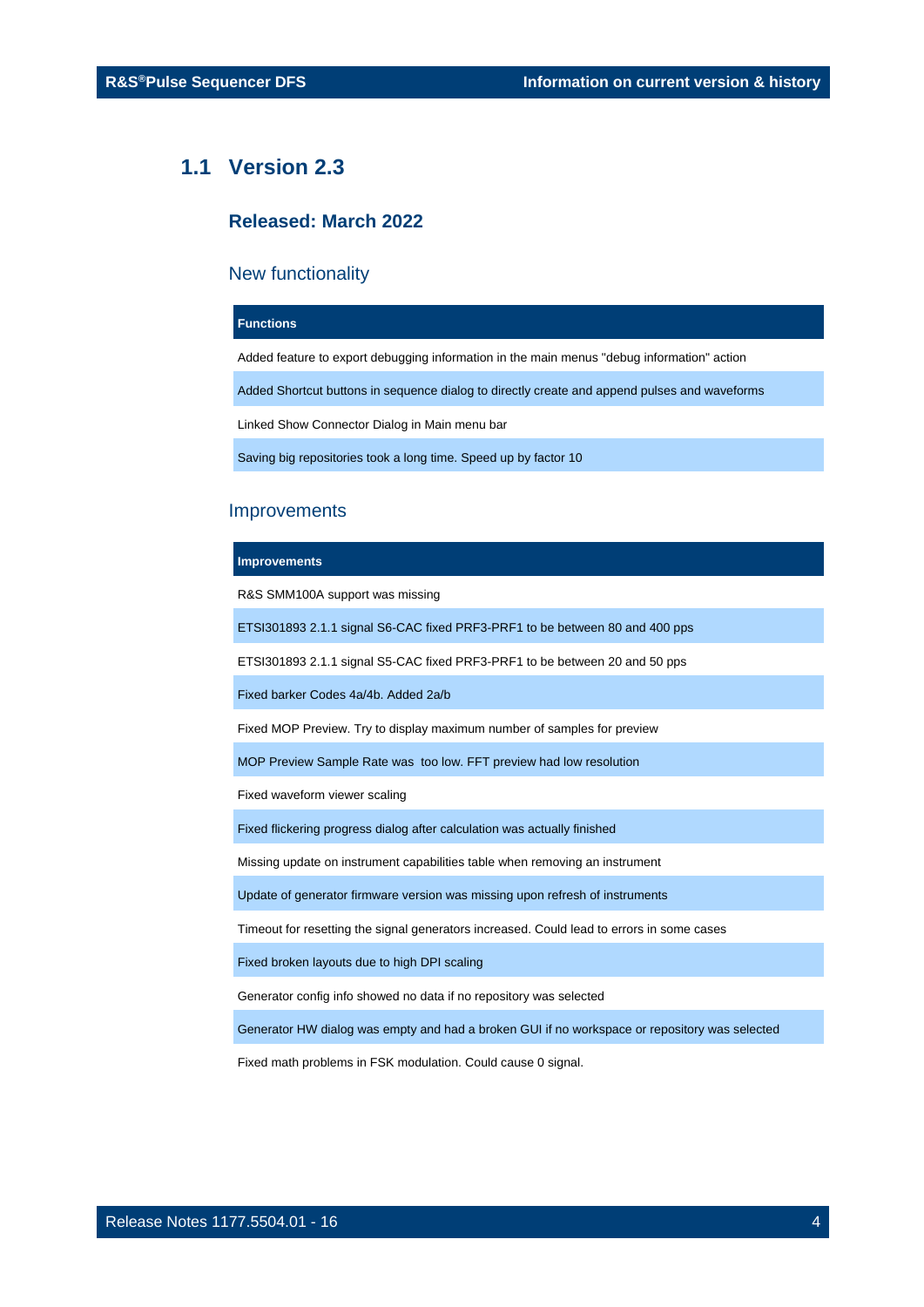## <span id="page-3-0"></span>**1.1 Version 2.3**

## **Released: March 2022**

## New functionality

#### **Functions**

Added feature to export debugging information in the main menus "debug information" action

Added Shortcut buttons in sequence dialog to directly create and append pulses and waveforms

Linked Show Connector Dialog in Main menu bar

Saving big repositories took a long time. Speed up by factor 10

## Improvements

#### **Improvements**

R&S SMM100A support was missing

ETSI301893 2.1.1 signal S6-CAC fixed PRF3-PRF1 to be between 80 and 400 pps

ETSI301893 2.1.1 signal S5-CAC fixed PRF3-PRF1 to be between 20 and 50 pps

Fixed barker Codes 4a/4b. Added 2a/b

Fixed MOP Preview. Try to display maximum number of samples for preview

MOP Preview Sample Rate was too low. FFT preview had low resolution

Fixed waveform viewer scaling

Fixed flickering progress dialog after calculation was actually finished

Missing update on instrument capabilities table when removing an instrument

Update of generator firmware version was missing upon refresh of instruments

Timeout for resetting the signal generators increased. Could lead to errors in some cases

Fixed broken layouts due to high DPI scaling

Generator config info showed no data if no repository was selected

Generator HW dialog was empty and had a broken GUI if no workspace or repository was selected

Fixed math problems in FSK modulation. Could cause 0 signal.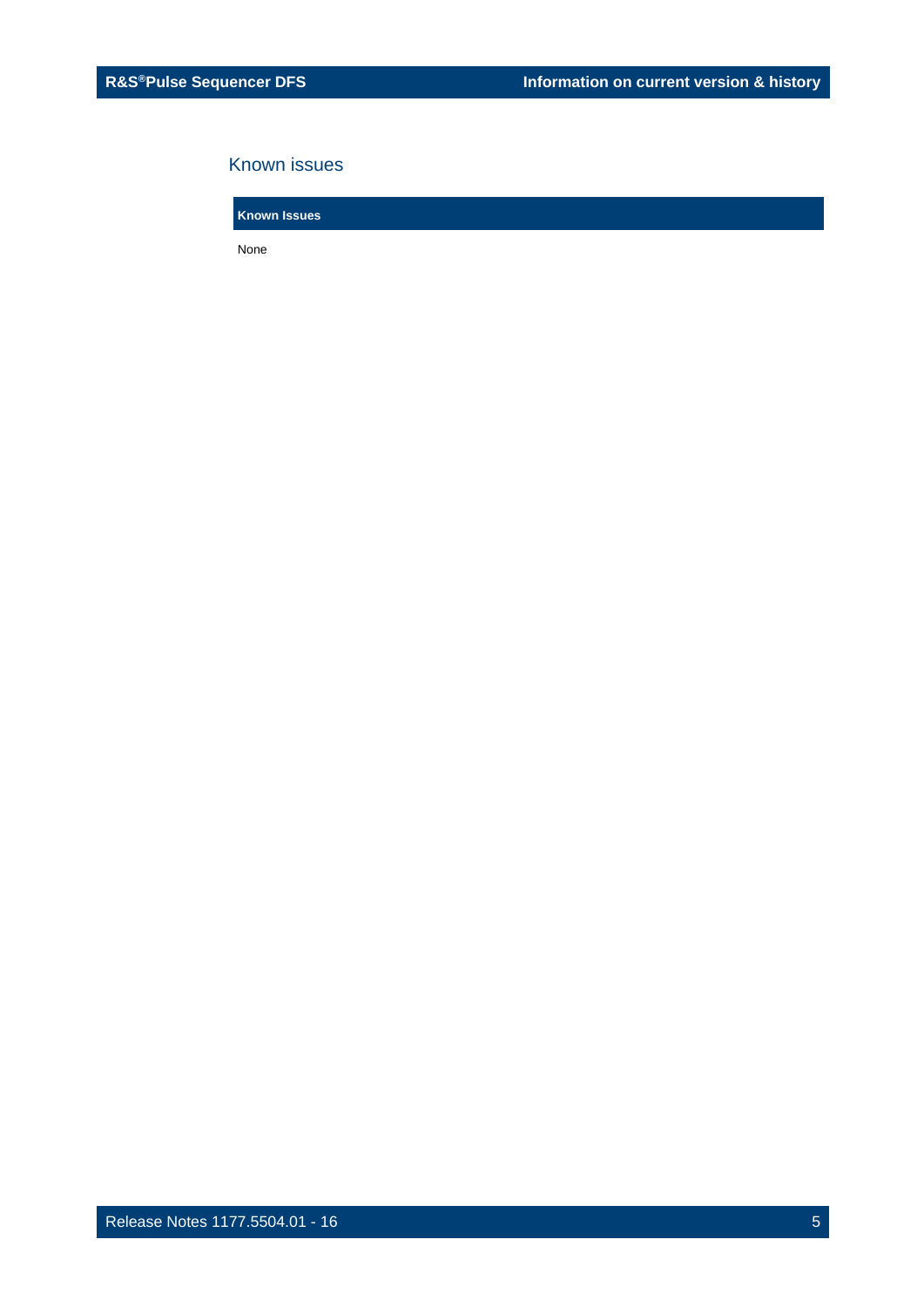## Known issues

**Known Issues**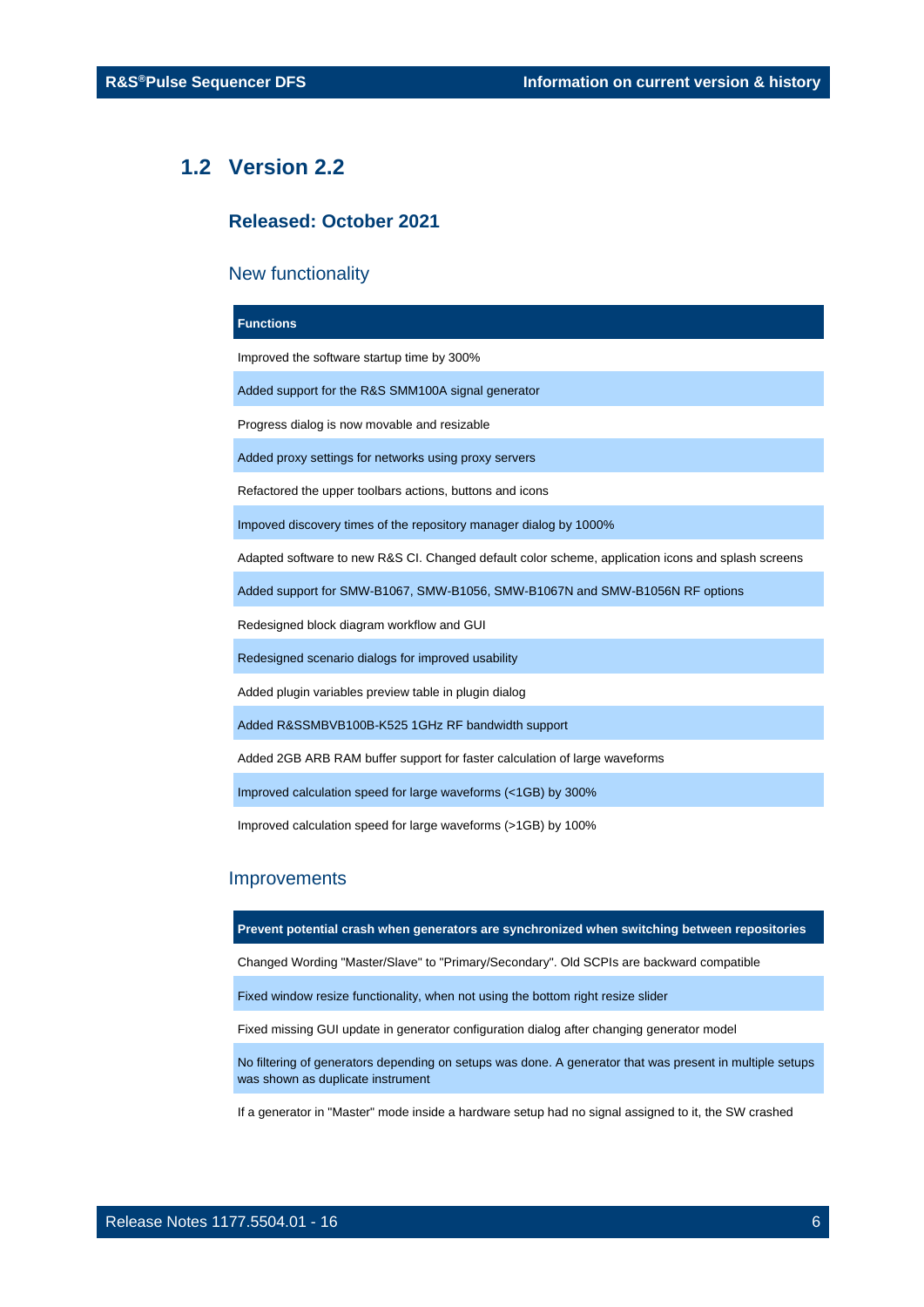## <span id="page-5-0"></span>**1.2 Version 2.2**

## **Released: October 2021**

## New functionality

## **Functions**

Improved the software startup time by 300%

Added support for the R&S SMM100A signal generator

Progress dialog is now movable and resizable

Added proxy settings for networks using proxy servers

Refactored the upper toolbars actions, buttons and icons

Impoved discovery times of the repository manager dialog by 1000%

Adapted software to new R&S CI. Changed default color scheme, application icons and splash screens

Added support for SMW-B1067, SMW-B1056, SMW-B1067N and SMW-B1056N RF options

Redesigned block diagram workflow and GUI

Redesigned scenario dialogs for improved usability

Added plugin variables preview table in plugin dialog

Added R&SSMBVB100B-K525 1GHz RF bandwidth support

Added 2GB ARB RAM buffer support for faster calculation of large waveforms

Improved calculation speed for large waveforms (<1GB) by 300%

Improved calculation speed for large waveforms (>1GB) by 100%

## **Improvements**

**Prevent potential crash when generators are synchronized when switching between repositories**

Changed Wording "Master/Slave" to "Primary/Secondary". Old SCPIs are backward compatible

Fixed window resize functionality, when not using the bottom right resize slider

Fixed missing GUI update in generator configuration dialog after changing generator model

No filtering of generators depending on setups was done. A generator that was present in multiple setups was shown as duplicate instrument

If a generator in "Master" mode inside a hardware setup had no signal assigned to it, the SW crashed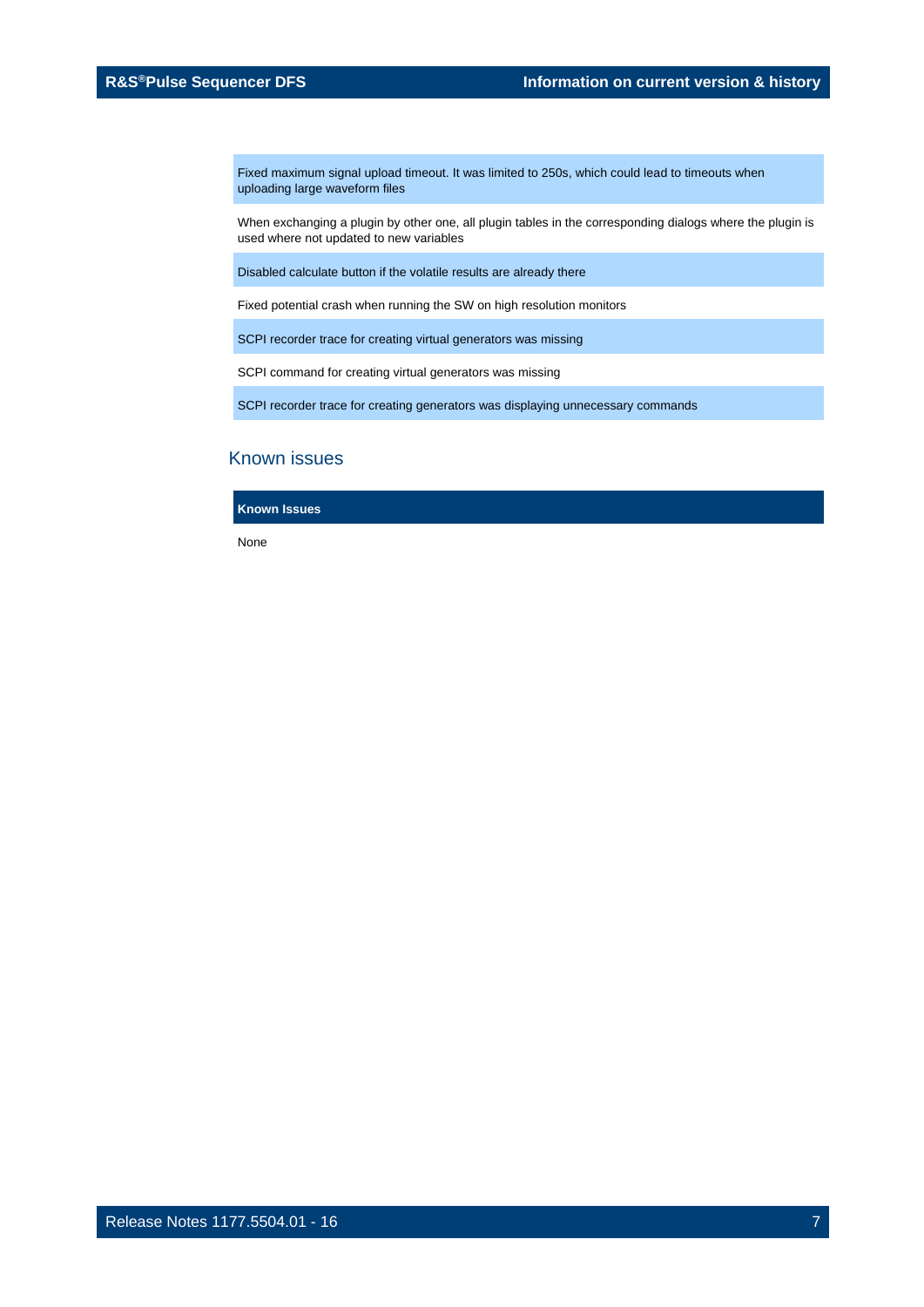Fixed maximum signal upload timeout. It was limited to 250s, which could lead to timeouts when uploading large waveform files

When exchanging a plugin by other one, all plugin tables in the corresponding dialogs where the plugin is used where not updated to new variables

Disabled calculate button if the volatile results are already there

Fixed potential crash when running the SW on high resolution monitors

SCPI recorder trace for creating virtual generators was missing

SCPI command for creating virtual generators was missing

SCPI recorder trace for creating generators was displaying unnecessary commands

## Known issues

**Known Issues**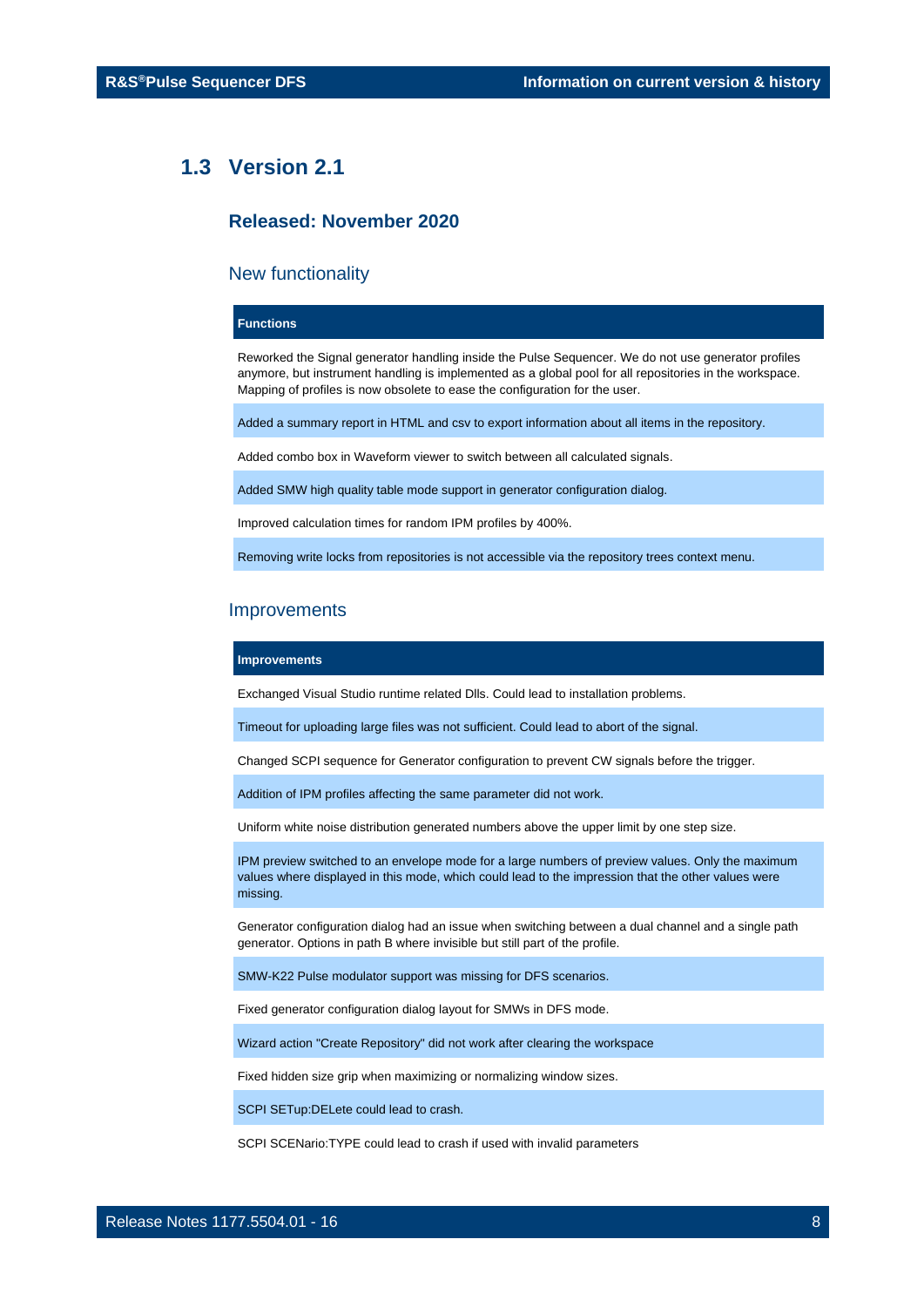## <span id="page-7-0"></span>**1.3 Version 2.1**

## **Released: November 2020**

#### New functionality

## **Functions**

Reworked the Signal generator handling inside the Pulse Sequencer. We do not use generator profiles anymore, but instrument handling is implemented as a global pool for all repositories in the workspace. Mapping of profiles is now obsolete to ease the configuration for the user.

Added a summary report in HTML and csv to export information about all items in the repository.

Added combo box in Waveform viewer to switch between all calculated signals.

Added SMW high quality table mode support in generator configuration dialog.

Improved calculation times for random IPM profiles by 400%.

Removing write locks from repositories is not accessible via the repository trees context menu.

## Improvements

#### **Improvements**

Exchanged Visual Studio runtime related Dlls. Could lead to installation problems.

Timeout for uploading large files was not sufficient. Could lead to abort of the signal.

Changed SCPI sequence for Generator configuration to prevent CW signals before the trigger.

Addition of IPM profiles affecting the same parameter did not work.

Uniform white noise distribution generated numbers above the upper limit by one step size.

IPM preview switched to an envelope mode for a large numbers of preview values. Only the maximum values where displayed in this mode, which could lead to the impression that the other values were missing.

Generator configuration dialog had an issue when switching between a dual channel and a single path generator. Options in path B where invisible but still part of the profile.

SMW-K22 Pulse modulator support was missing for DFS scenarios.

Fixed generator configuration dialog layout for SMWs in DFS mode.

Wizard action "Create Repository" did not work after clearing the workspace

Fixed hidden size grip when maximizing or normalizing window sizes.

SCPI SETup:DELete could lead to crash.

SCPI SCENario:TYPE could lead to crash if used with invalid parameters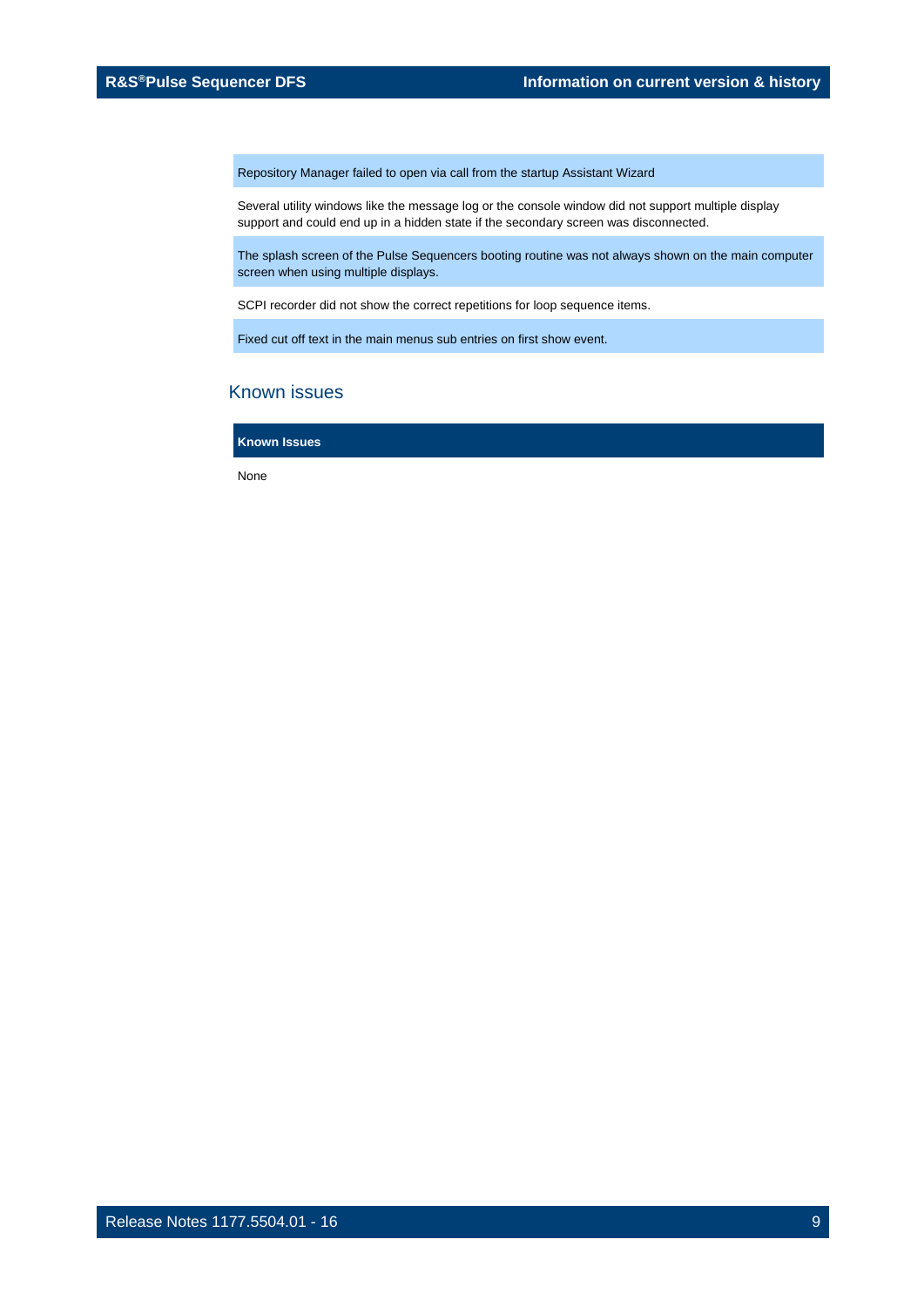Repository Manager failed to open via call from the startup Assistant Wizard

Several utility windows like the message log or the console window did not support multiple display support and could end up in a hidden state if the secondary screen was disconnected.

The splash screen of the Pulse Sequencers booting routine was not always shown on the main computer screen when using multiple displays.

SCPI recorder did not show the correct repetitions for loop sequence items.

Fixed cut off text in the main menus sub entries on first show event.

## Known issues

**Known Issues**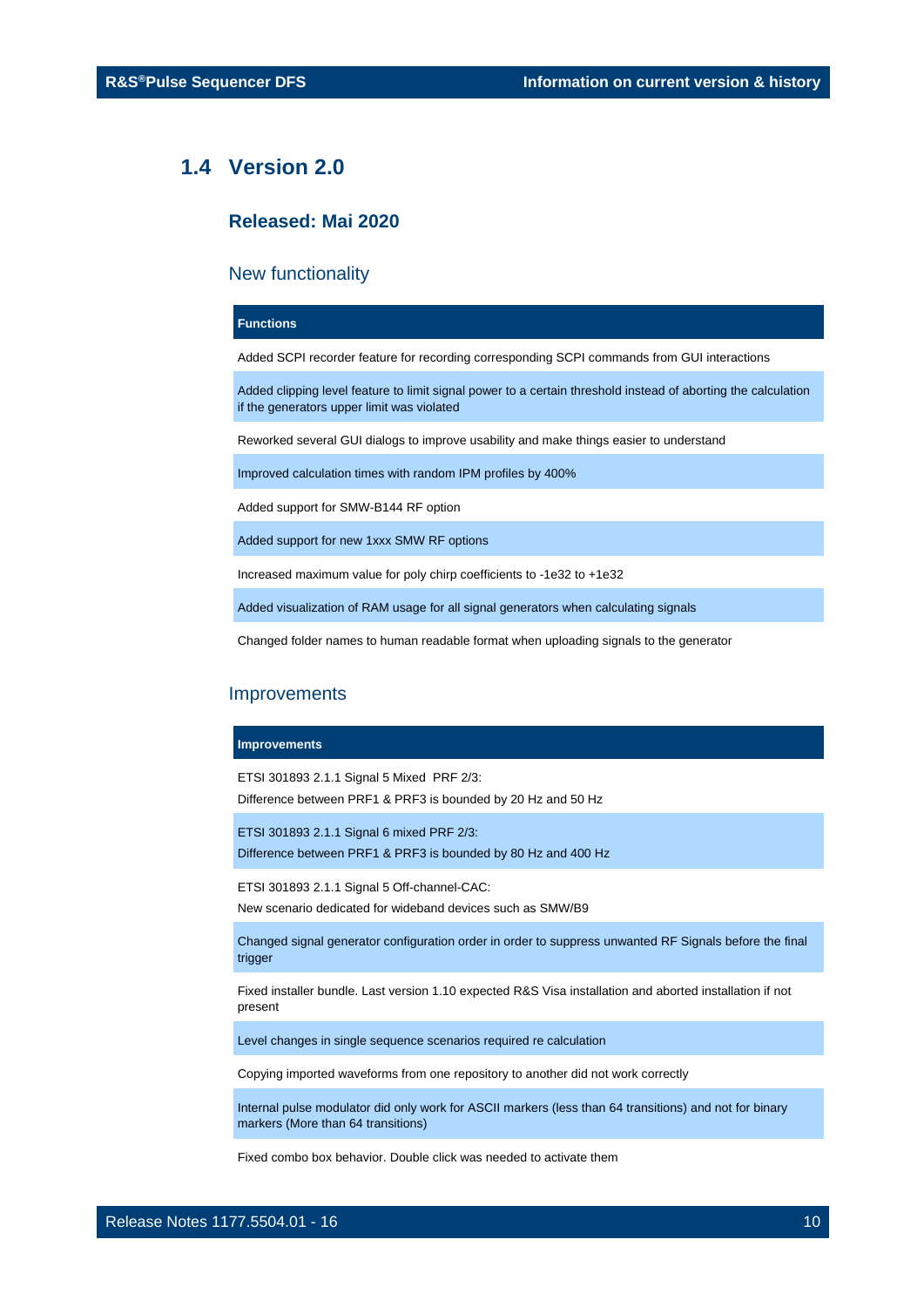## <span id="page-9-0"></span>**1.4 Version 2.0**

## **Released: Mai 2020**

## New functionality

#### **Functions**

Added SCPI recorder feature for recording corresponding SCPI commands from GUI interactions

Added clipping level feature to limit signal power to a certain threshold instead of aborting the calculation if the generators upper limit was violated

Reworked several GUI dialogs to improve usability and make things easier to understand

Improved calculation times with random IPM profiles by 400%

Added support for SMW-B144 RF option

Added support for new 1xxx SMW RF options

Increased maximum value for poly chirp coefficients to -1e32 to +1e32

Added visualization of RAM usage for all signal generators when calculating signals

Changed folder names to human readable format when uploading signals to the generator

#### **Improvements**

#### **Improvements**

ETSI 301893 2.1.1 Signal 5 Mixed PRF 2/3: Difference between PRF1 & PRF3 is bounded by 20 Hz and 50 Hz

ETSI 301893 2.1.1 Signal 6 mixed PRF 2/3: Difference between PRF1 & PRF3 is bounded by 80 Hz and 400 Hz

ETSI 301893 2.1.1 Signal 5 Off-channel-CAC:

New scenario dedicated for wideband devices such as SMW/B9

Changed signal generator configuration order in order to suppress unwanted RF Signals before the final trigger

Fixed installer bundle. Last version 1.10 expected R&S Visa installation and aborted installation if not present

Level changes in single sequence scenarios required re calculation

Copying imported waveforms from one repository to another did not work correctly

Internal pulse modulator did only work for ASCII markers (less than 64 transitions) and not for binary markers (More than 64 transitions)

Fixed combo box behavior. Double click was needed to activate them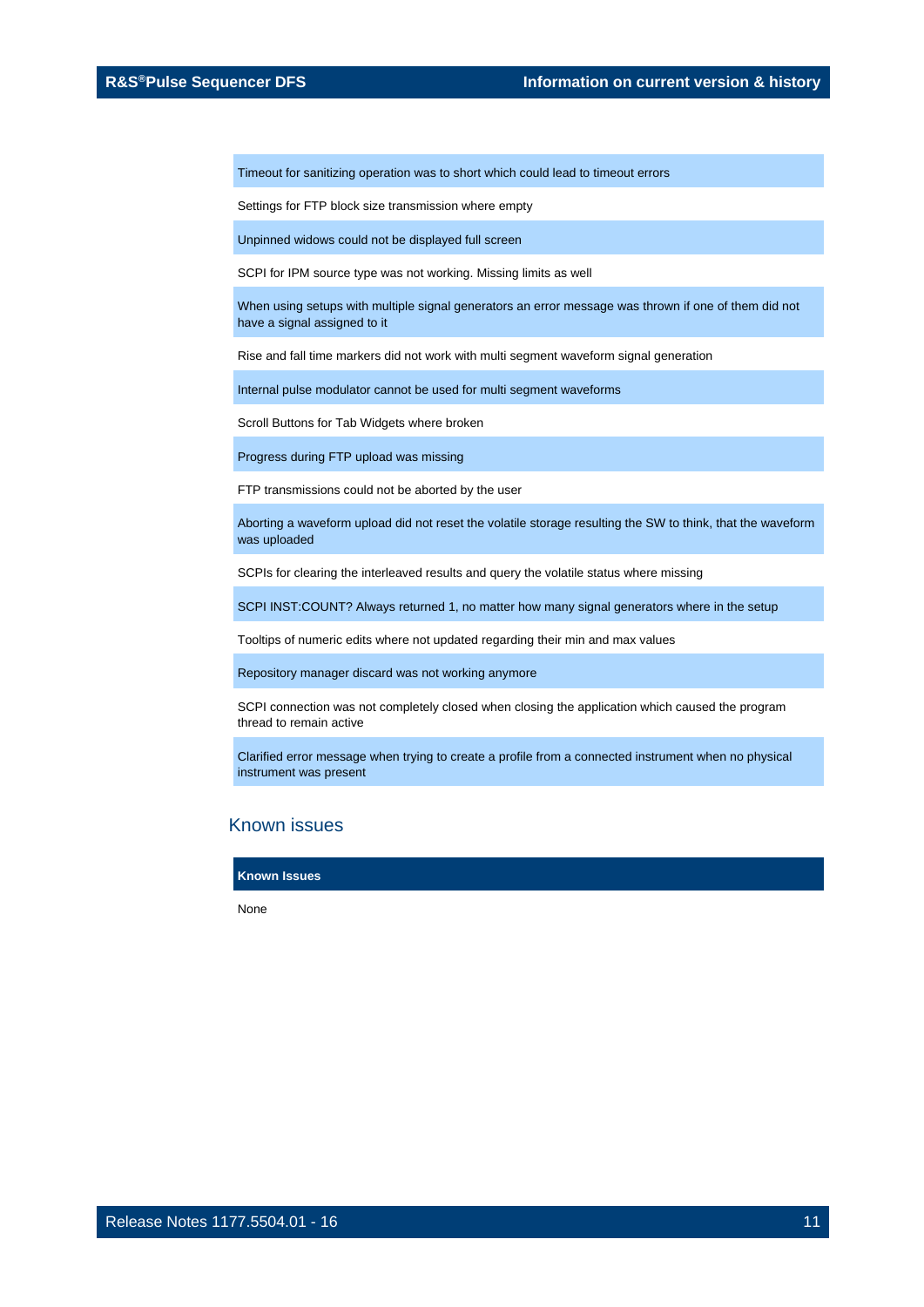Timeout for sanitizing operation was to short which could lead to timeout errors

Settings for FTP block size transmission where empty

Unpinned widows could not be displayed full screen

SCPI for IPM source type was not working. Missing limits as well

When using setups with multiple signal generators an error message was thrown if one of them did not have a signal assigned to it

Rise and fall time markers did not work with multi segment waveform signal generation

Internal pulse modulator cannot be used for multi segment waveforms

Scroll Buttons for Tab Widgets where broken

Progress during FTP upload was missing

FTP transmissions could not be aborted by the user

Aborting a waveform upload did not reset the volatile storage resulting the SW to think, that the waveform was uploaded

SCPIs for clearing the interleaved results and query the volatile status where missing

SCPI INST:COUNT? Always returned 1, no matter how many signal generators where in the setup

Tooltips of numeric edits where not updated regarding their min and max values

Repository manager discard was not working anymore

SCPI connection was not completely closed when closing the application which caused the program thread to remain active

Clarified error message when trying to create a profile from a connected instrument when no physical instrument was present

## Known issues

**Known Issues**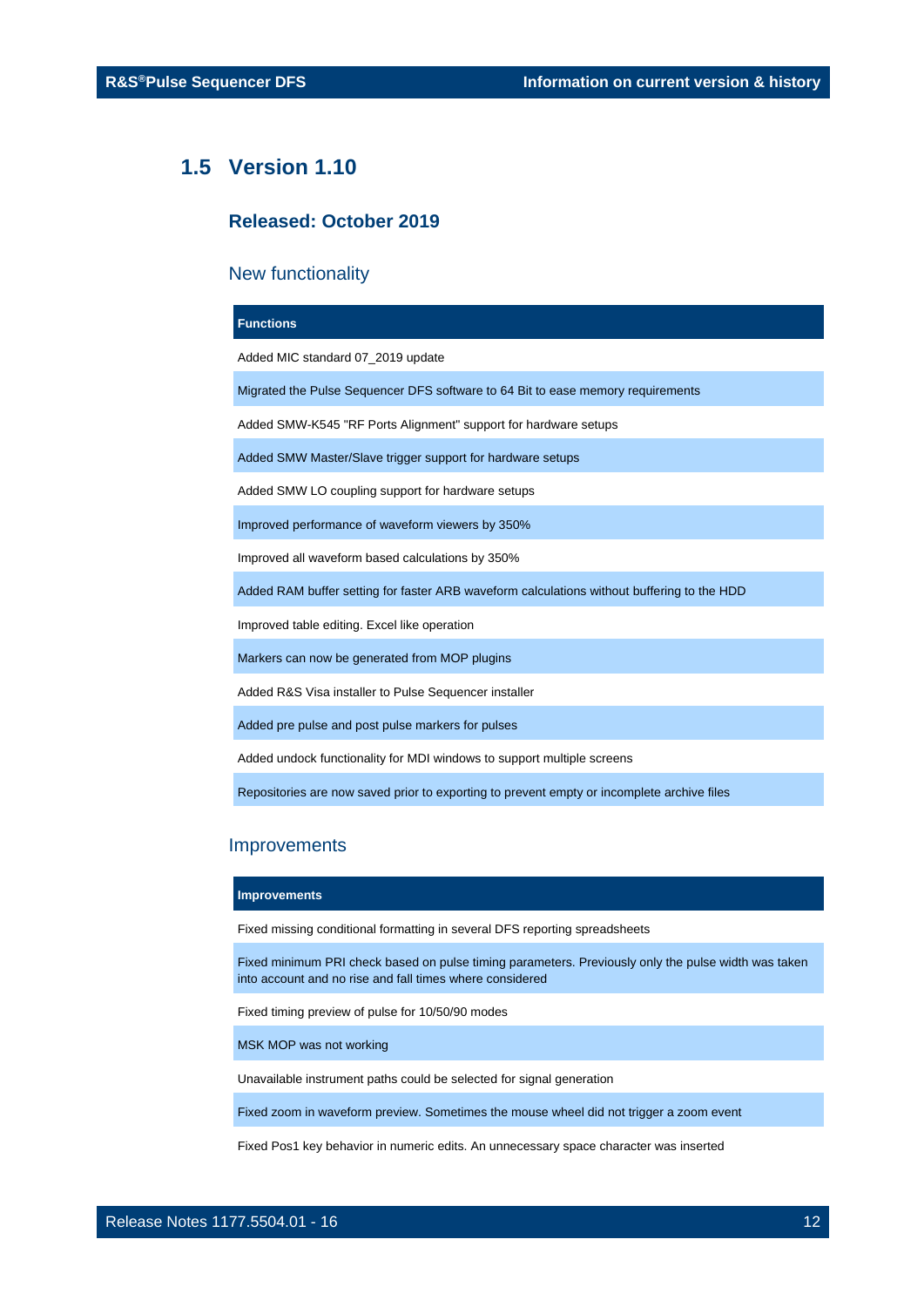## <span id="page-11-0"></span>**1.5 Version 1.10**

## **Released: October 2019**

## New functionality

#### **Functions**

Added MIC standard 07\_2019 update

Migrated the Pulse Sequencer DFS software to 64 Bit to ease memory requirements

Added SMW-K545 "RF Ports Alignment" support for hardware setups

Added SMW Master/Slave trigger support for hardware setups

Added SMW LO coupling support for hardware setups

Improved performance of waveform viewers by 350%

Improved all waveform based calculations by 350%

Added RAM buffer setting for faster ARB waveform calculations without buffering to the HDD

Improved table editing. Excel like operation

Markers can now be generated from MOP plugins

Added R&S Visa installer to Pulse Sequencer installer

Added pre pulse and post pulse markers for pulses

Added undock functionality for MDI windows to support multiple screens

Repositories are now saved prior to exporting to prevent empty or incomplete archive files

## Improvements

#### **Improvements**

Fixed missing conditional formatting in several DFS reporting spreadsheets

Fixed minimum PRI check based on pulse timing parameters. Previously only the pulse width was taken into account and no rise and fall times where considered

Fixed timing preview of pulse for 10/50/90 modes

MSK MOP was not working

Unavailable instrument paths could be selected for signal generation

Fixed zoom in waveform preview. Sometimes the mouse wheel did not trigger a zoom event

Fixed Pos1 key behavior in numeric edits. An unnecessary space character was inserted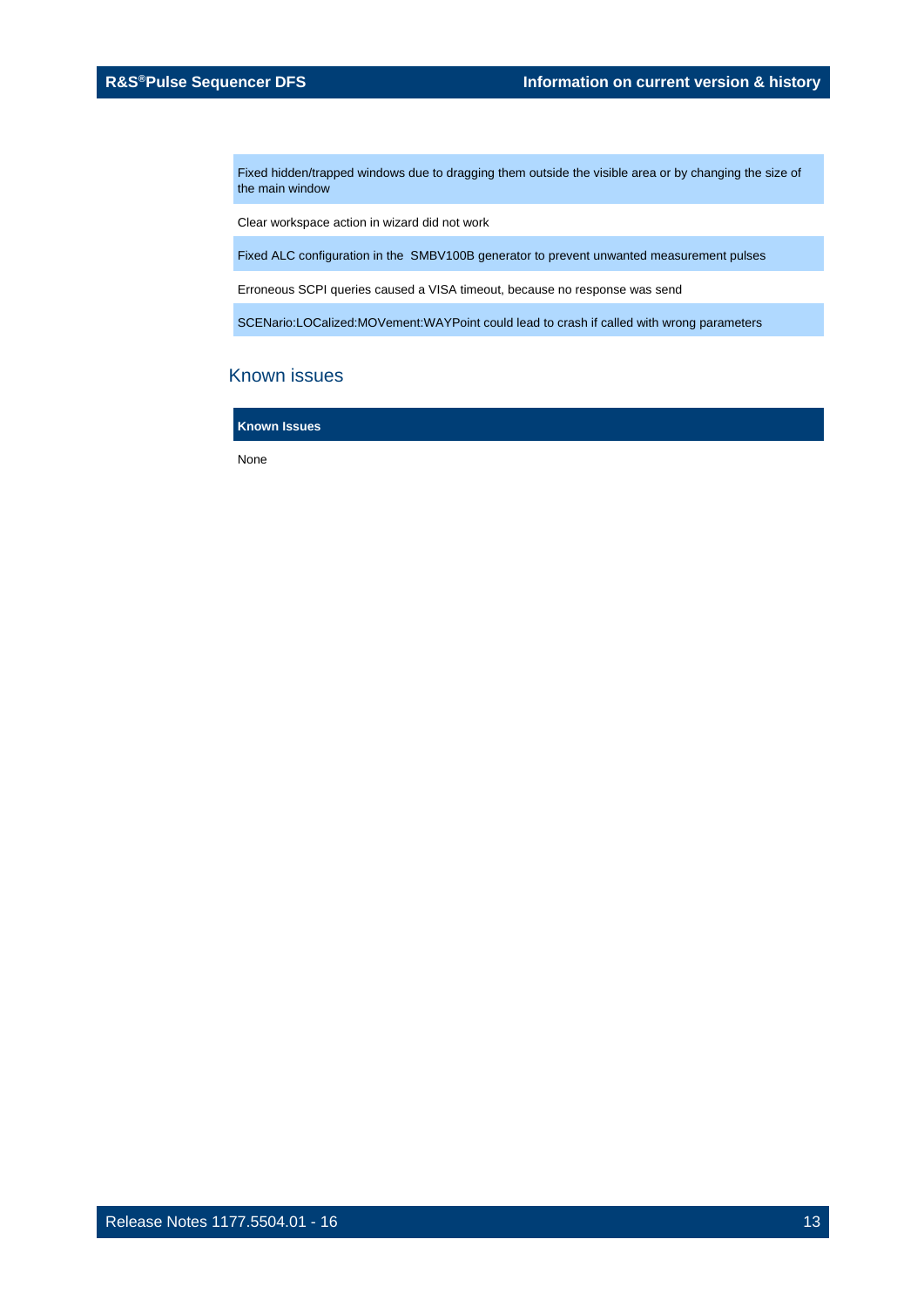Fixed hidden/trapped windows due to dragging them outside the visible area or by changing the size of the main window

Clear workspace action in wizard did not work

Fixed ALC configuration in the SMBV100B generator to prevent unwanted measurement pulses

Erroneous SCPI queries caused a VISA timeout, because no response was send

SCENario:LOCalized:MOVement:WAYPoint could lead to crash if called with wrong parameters

## Known issues

**Known Issues**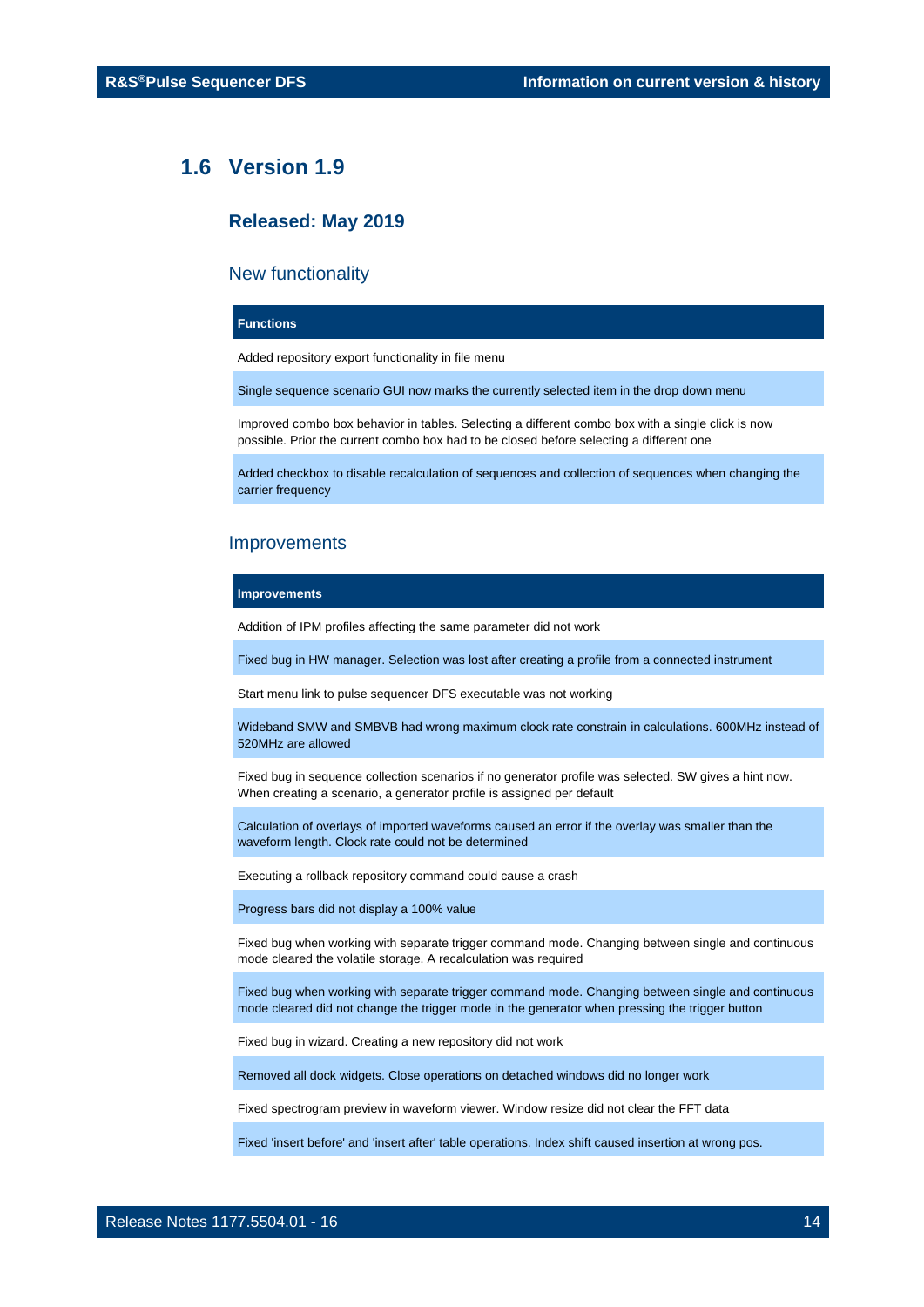## <span id="page-13-0"></span>**1.6 Version 1.9**

## **Released: May 2019**

## New functionality

## **Functions**

Added repository export functionality in file menu

Single sequence scenario GUI now marks the currently selected item in the drop down menu

Improved combo box behavior in tables. Selecting a different combo box with a single click is now possible. Prior the current combo box had to be closed before selecting a different one

Added checkbox to disable recalculation of sequences and collection of sequences when changing the carrier frequency

## Improvements

#### **Improvements**

Addition of IPM profiles affecting the same parameter did not work

Fixed bug in HW manager. Selection was lost after creating a profile from a connected instrument

Start menu link to pulse sequencer DFS executable was not working

Wideband SMW and SMBVB had wrong maximum clock rate constrain in calculations. 600MHz instead of 520MHz are allowed

Fixed bug in sequence collection scenarios if no generator profile was selected. SW gives a hint now. When creating a scenario, a generator profile is assigned per default

Calculation of overlays of imported waveforms caused an error if the overlay was smaller than the waveform length. Clock rate could not be determined

Executing a rollback repository command could cause a crash

Progress bars did not display a 100% value

Fixed bug when working with separate trigger command mode. Changing between single and continuous mode cleared the volatile storage. A recalculation was required

Fixed bug when working with separate trigger command mode. Changing between single and continuous mode cleared did not change the trigger mode in the generator when pressing the trigger button

Fixed bug in wizard. Creating a new repository did not work

Removed all dock widgets. Close operations on detached windows did no longer work

Fixed spectrogram preview in waveform viewer. Window resize did not clear the FFT data

Fixed 'insert before' and 'insert after' table operations. Index shift caused insertion at wrong pos.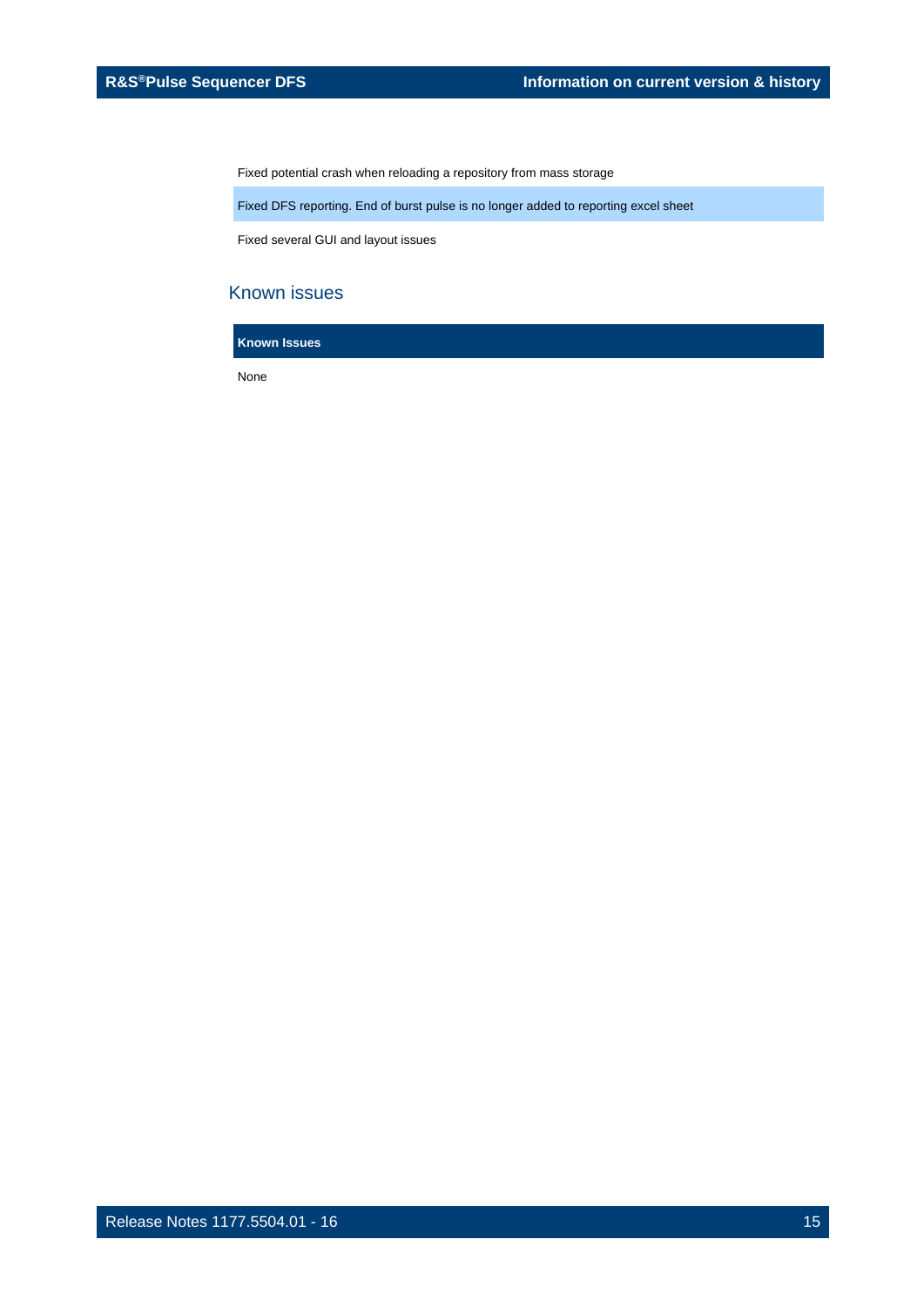Fixed potential crash when reloading a repository from mass storage

Fixed DFS reporting. End of burst pulse is no longer added to reporting excel sheet

Fixed several GUI and layout issues

## Known issues

**Known Issues**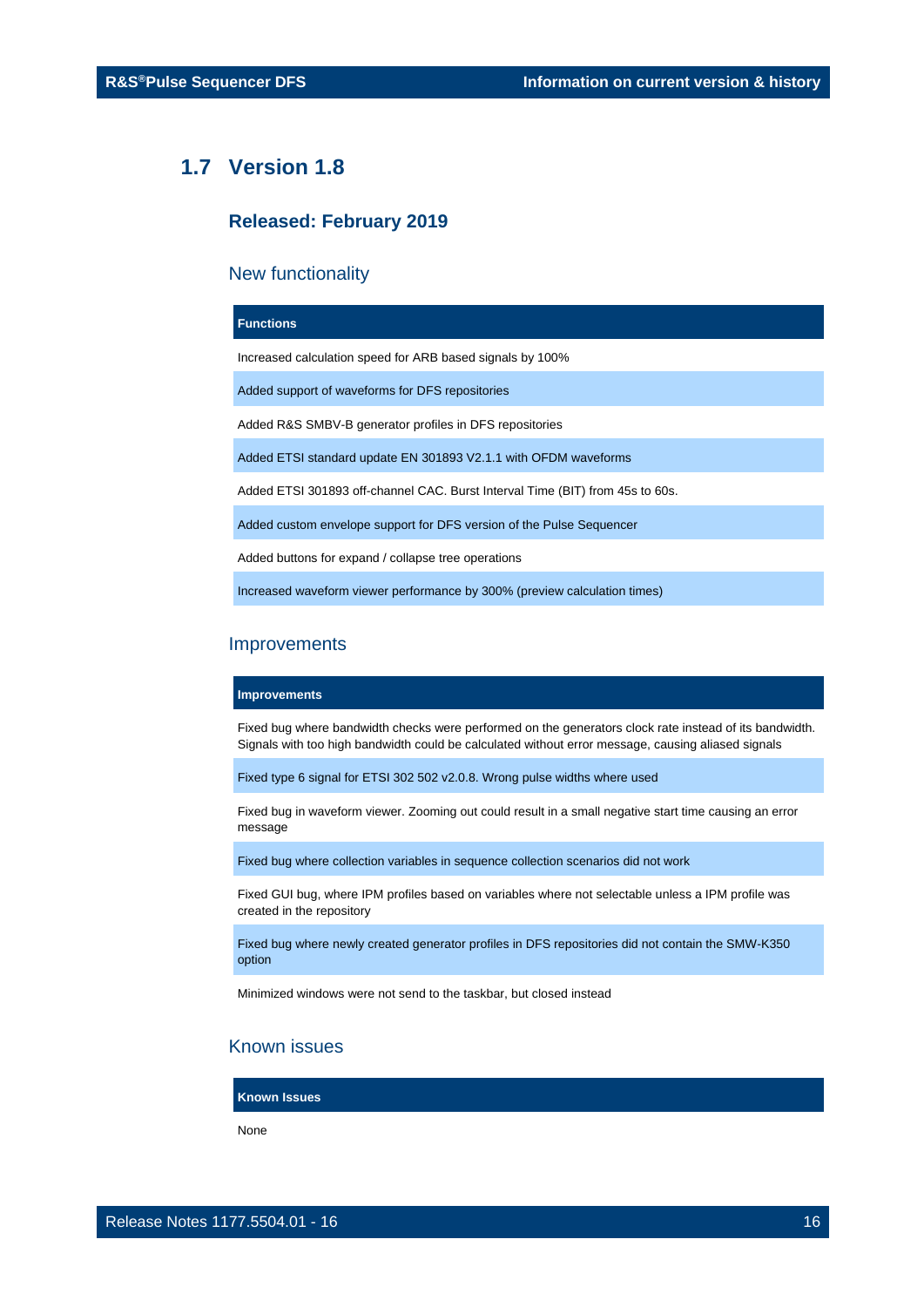## <span id="page-15-0"></span>**1.7 Version 1.8**

## **Released: February 2019**

## New functionality

## **Functions**

Increased calculation speed for ARB based signals by 100%

Added support of waveforms for DFS repositories

Added R&S SMBV-B generator profiles in DFS repositories

Added ETSI standard update EN 301893 V2.1.1 with OFDM waveforms

Added ETSI 301893 off-channel CAC. Burst Interval Time (BIT) from 45s to 60s.

Added custom envelope support for DFS version of the Pulse Sequencer

Added buttons for expand / collapse tree operations

Increased waveform viewer performance by 300% (preview calculation times)

## **Improvements**

#### **Improvements**

Fixed bug where bandwidth checks were performed on the generators clock rate instead of its bandwidth. Signals with too high bandwidth could be calculated without error message, causing aliased signals

Fixed type 6 signal for ETSI 302 502 v2.0.8. Wrong pulse widths where used

Fixed bug in waveform viewer. Zooming out could result in a small negative start time causing an error message

Fixed bug where collection variables in sequence collection scenarios did not work

Fixed GUI bug, where IPM profiles based on variables where not selectable unless a IPM profile was created in the repository

Fixed bug where newly created generator profiles in DFS repositories did not contain the SMW-K350 option

Minimized windows were not send to the taskbar, but closed instead

## Known issues

**Known Issues**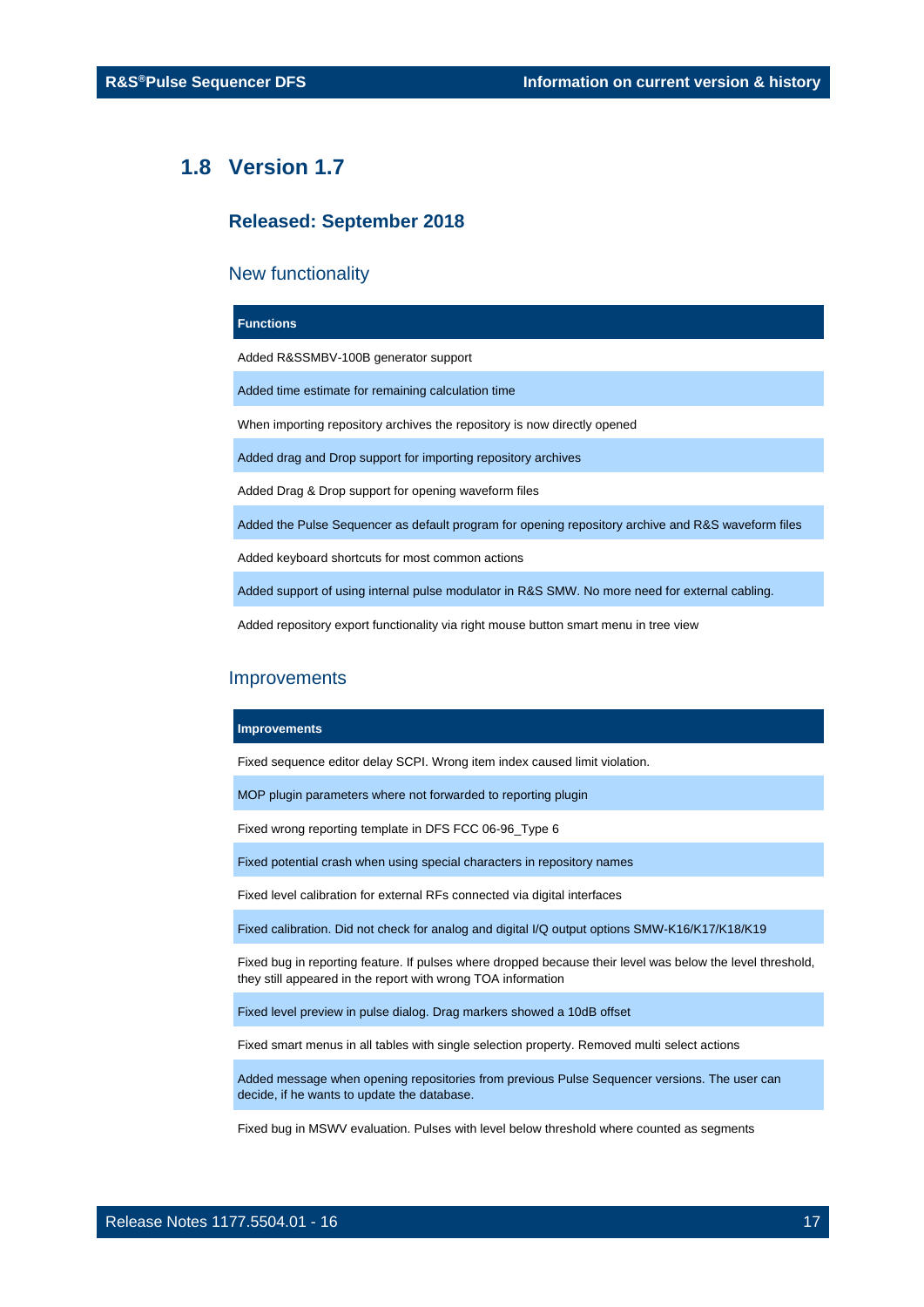## <span id="page-16-0"></span>**1.8 Version 1.7**

## **Released: September 2018**

## New functionality

#### **Functions**

Added R&SSMBV-100B generator support

Added time estimate for remaining calculation time

When importing repository archives the repository is now directly opened

Added drag and Drop support for importing repository archives

Added Drag & Drop support for opening waveform files

Added the Pulse Sequencer as default program for opening repository archive and R&S waveform files

Added keyboard shortcuts for most common actions

Added support of using internal pulse modulator in R&S SMW. No more need for external cabling.

Added repository export functionality via right mouse button smart menu in tree view

#### **Improvements**

#### **Improvements**

Fixed sequence editor delay SCPI. Wrong item index caused limit violation.

MOP plugin parameters where not forwarded to reporting plugin

Fixed wrong reporting template in DFS FCC 06-96\_Type 6

Fixed potential crash when using special characters in repository names

Fixed level calibration for external RFs connected via digital interfaces

Fixed calibration. Did not check for analog and digital I/Q output options SMW-K16/K17/K18/K19

Fixed bug in reporting feature. If pulses where dropped because their level was below the level threshold, they still appeared in the report with wrong TOA information

Fixed level preview in pulse dialog. Drag markers showed a 10dB offset

Fixed smart menus in all tables with single selection property. Removed multi select actions

Added message when opening repositories from previous Pulse Sequencer versions. The user can decide, if he wants to update the database.

Fixed bug in MSWV evaluation. Pulses with level below threshold where counted as segments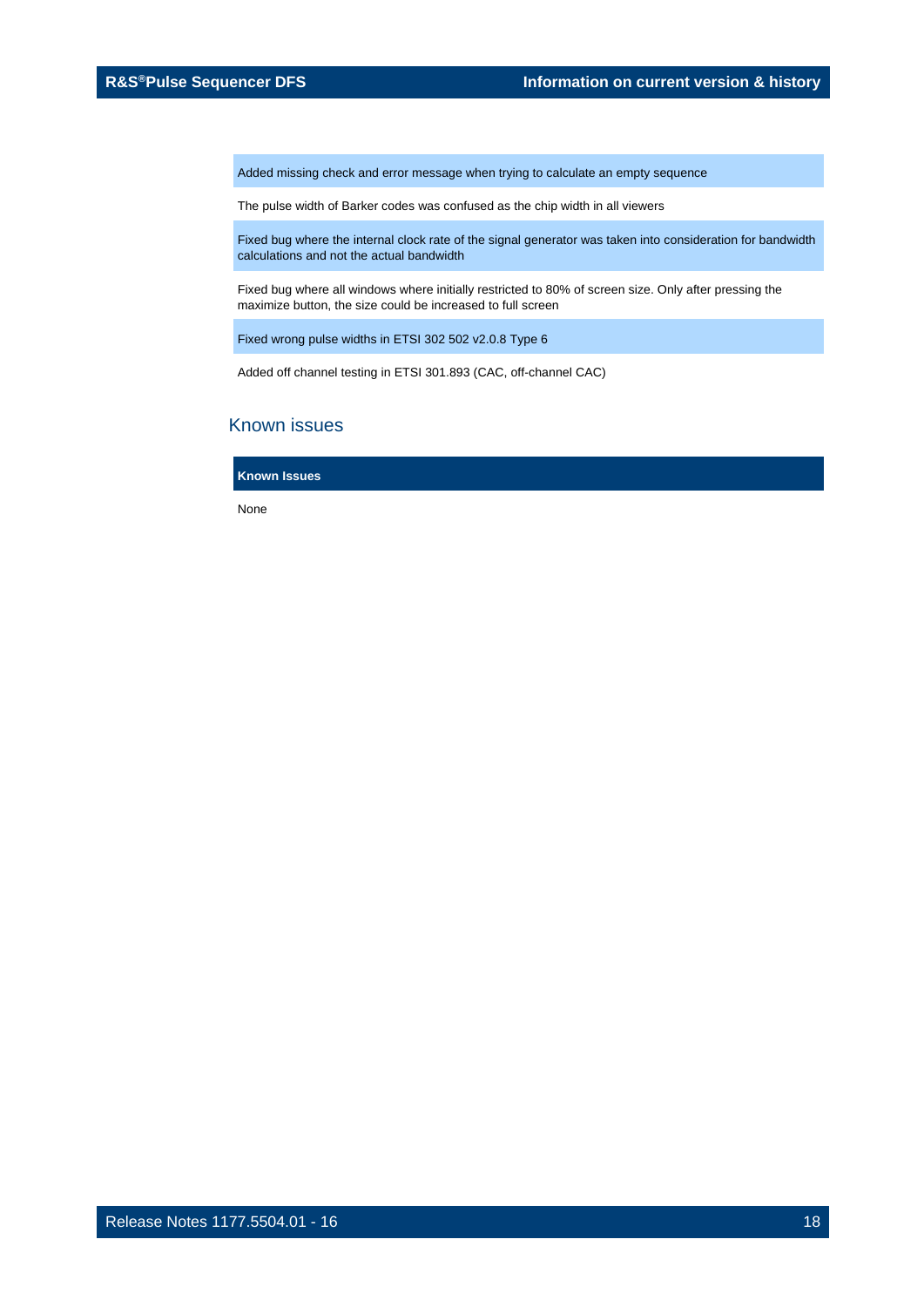Added missing check and error message when trying to calculate an empty sequence

The pulse width of Barker codes was confused as the chip width in all viewers

Fixed bug where the internal clock rate of the signal generator was taken into consideration for bandwidth calculations and not the actual bandwidth

Fixed bug where all windows where initially restricted to 80% of screen size. Only after pressing the maximize button, the size could be increased to full screen

Fixed wrong pulse widths i[n ETSI 302 502 v2.0.8 Type 6](https://jazz.rsint.net/ccm/web/projects/1G.SigGen#action=com.ibm.team.workitem.viewWorkItem&id=440090)

Added off channel testing in ETSI 301.893 (CAC, off-channel CAC)

## Known issues

**Known Issues**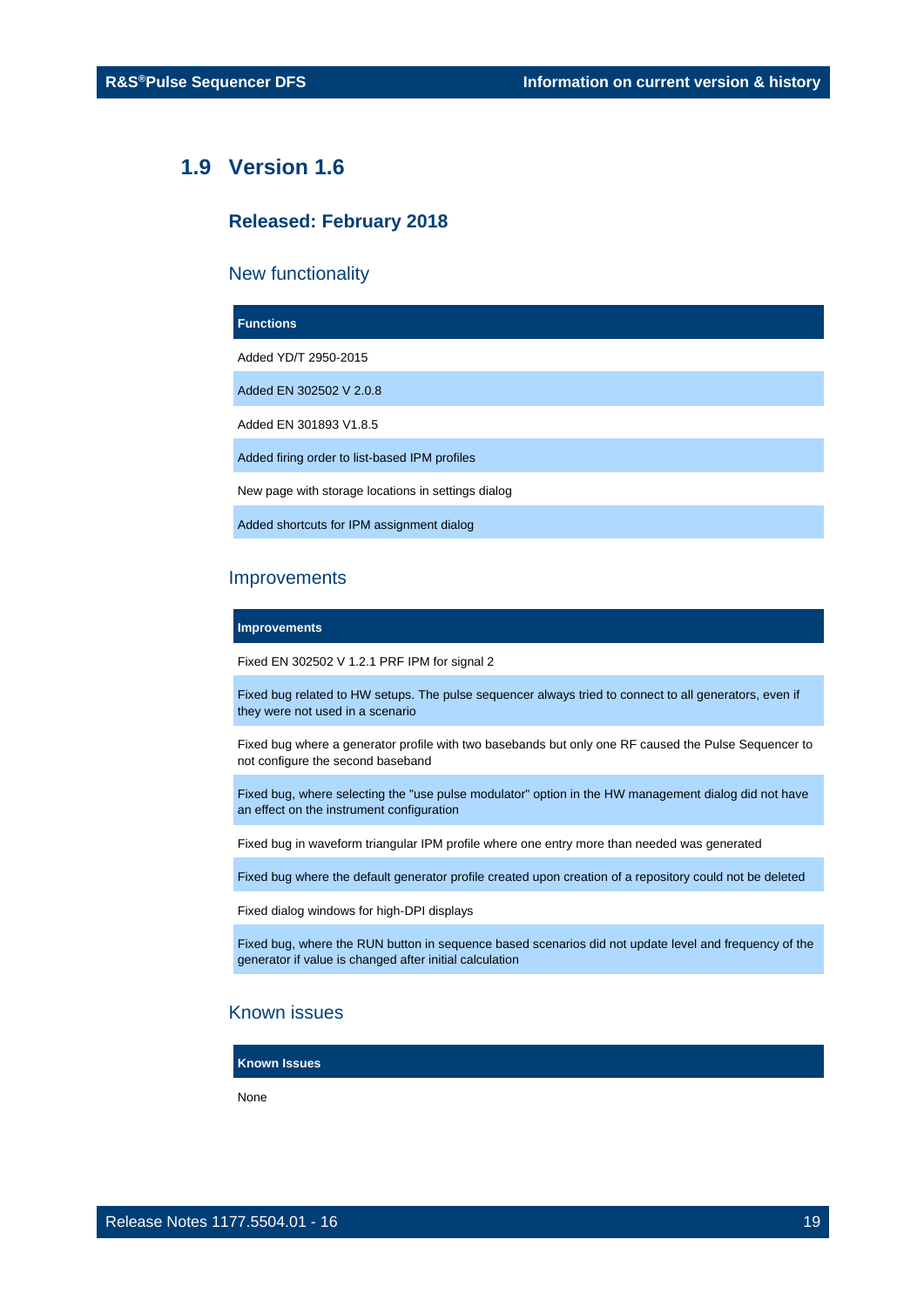## <span id="page-18-0"></span>**1.9 Version 1.6**

## **Released: February 2018**

## New functionality

#### **Functions**

Added YD/T 2950-2015

Added EN 302502 V 2.0.8

Added EN 301893 V1.8.5

Added firing order to list-based IPM profiles

New page with storage locations in settings dialog

Added shortcuts for IPM assignment dialog

## **Improvements**

**Improvements**

Fixed EN 302502 V 1.2.1 PRF IPM for signal 2

Fixed bug related to HW setups. The pulse sequencer always tried to connect to all generators, even if they were not used in a scenario

Fixed bug where a generator profile with two basebands but only one RF caused the Pulse Sequencer to not configure the second baseband

Fixed bug, where selecting the "use pulse modulator" option in the HW management dialog did not have an effect on the instrument configuration

Fixed bug in waveform triangular IPM profile where one entry more than needed was generated

Fixed bug where the default generator profile created upon creation of a repository could not be deleted

Fixed dialog windows for high-DPI displays

Fixed bug, where the RUN button in sequence based scenarios did not update level and frequency of the generator if value is changed after initial calculation

## Known issues

**Known Issues**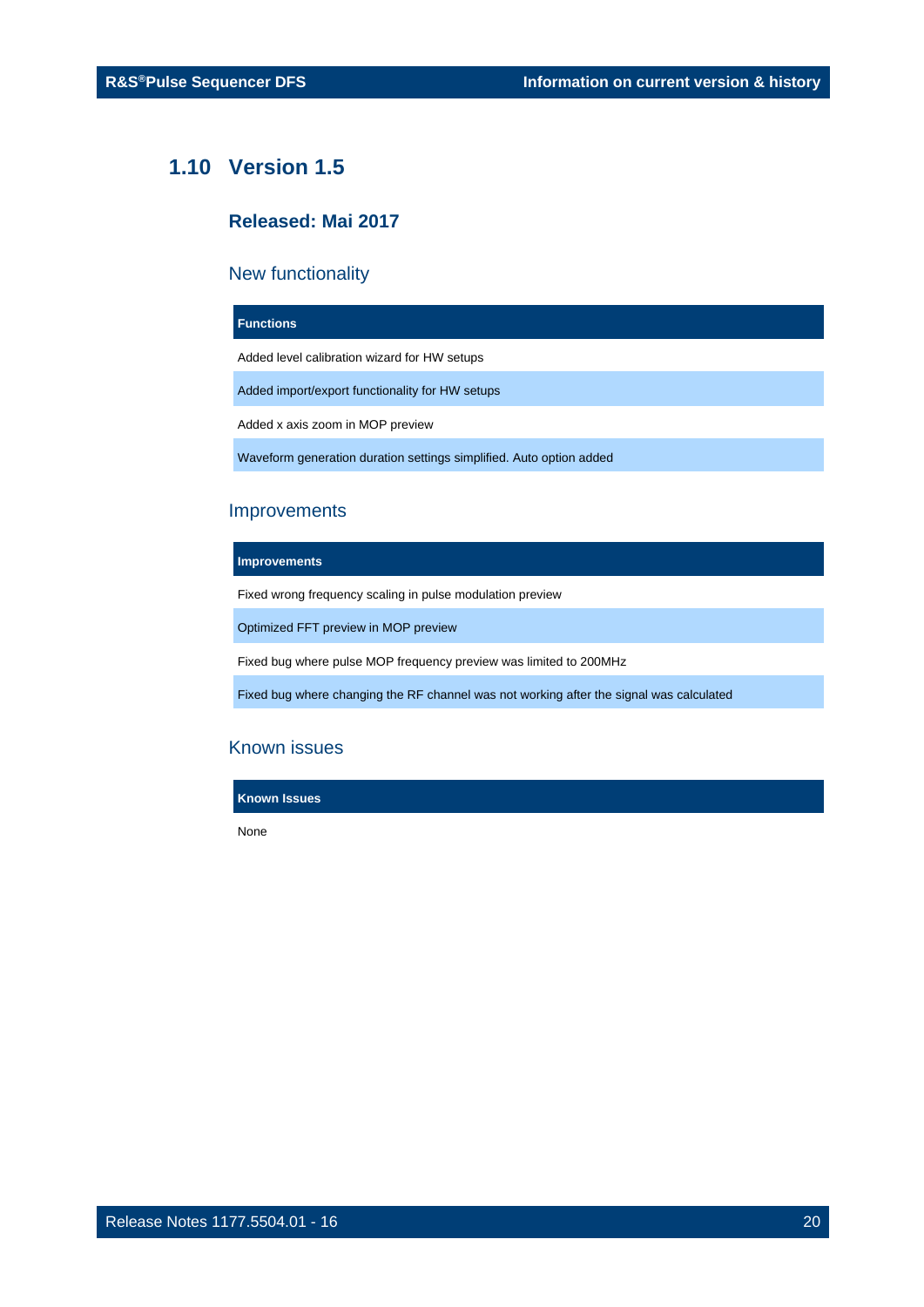## <span id="page-19-0"></span>**1.10 Version 1.5**

## **Released: Mai 2017**

## New functionality

## **Functions**

Added level calibration wizard for HW setups

Added import/export functionality for HW setups

Added x axis zoom in MOP preview

Waveform generation duration settings simplified. Auto option added

## Improvements

#### **Improvements**

Fixed wrong frequency scaling in pulse modulation preview

Optimized FFT preview in MOP preview

Fixed bug where pulse MOP frequency preview was limited to 200MHz

Fixed bug where changing the RF channel was not working after the signal was calculated

## Known issues

**Known Issues**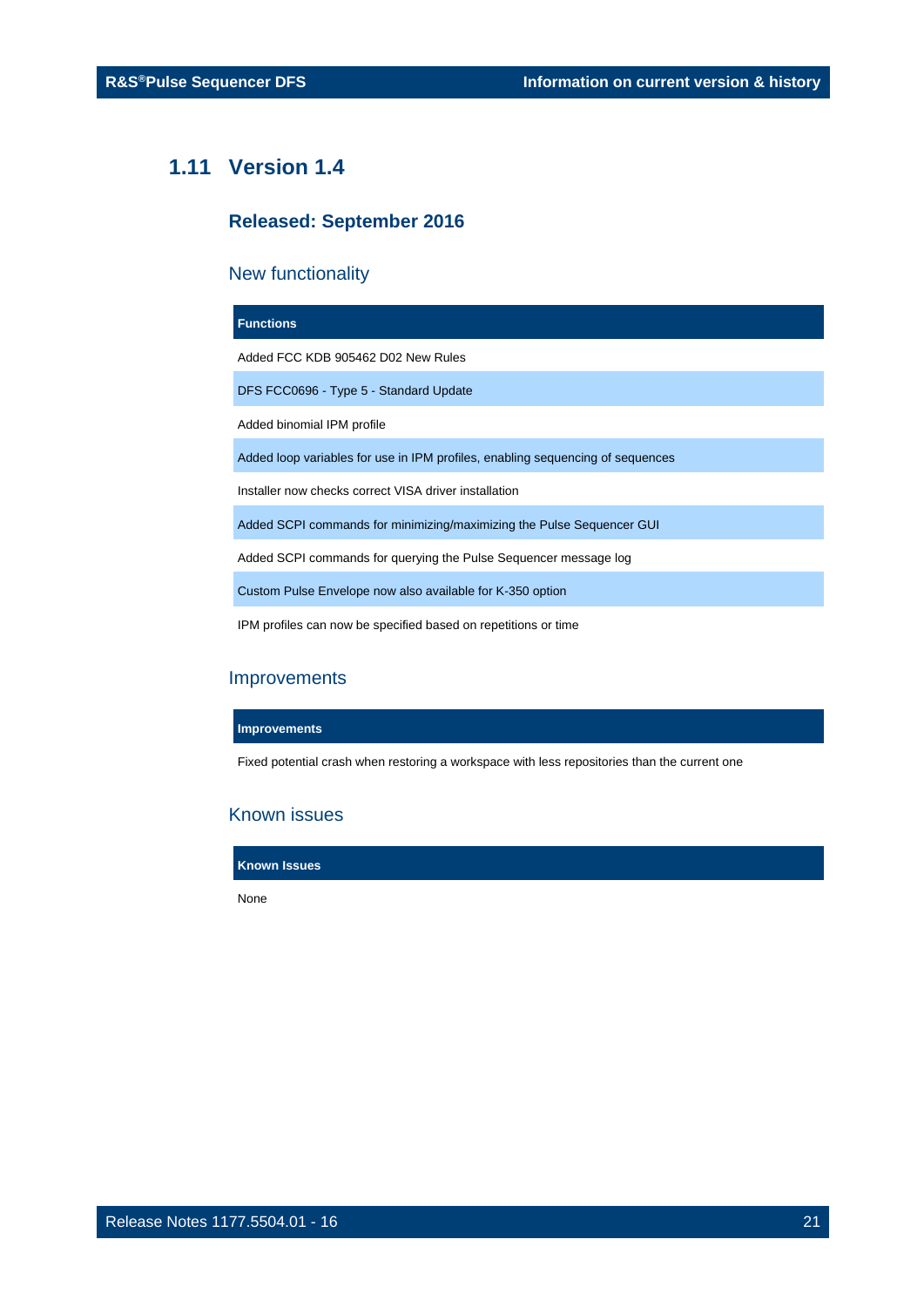## <span id="page-20-0"></span>**1.11 Version 1.4**

## **Released: September 2016**

## New functionality

| <b>Functions</b>                                                               |
|--------------------------------------------------------------------------------|
| Added FCC KDB 905462 D02 New Rules                                             |
| DFS FCC0696 - Type 5 - Standard Update                                         |
| Added binomial IPM profile                                                     |
| Added loop variables for use in IPM profiles, enabling sequencing of sequences |
| Installer now checks correct VISA driver installation                          |
| Added SCPI commands for minimizing/maximizing the Pulse Sequencer GUI          |
| Added SCPI commands for querying the Pulse Sequencer message log               |

Custom Pulse Envelope now also available for K-350 option

IPM profiles can now be specified based on repetitions or time

## Improvements

## **Improvements**

Fixed potential crash when restoring a workspace with less repositories than the current one

## Known issues

**Known Issues**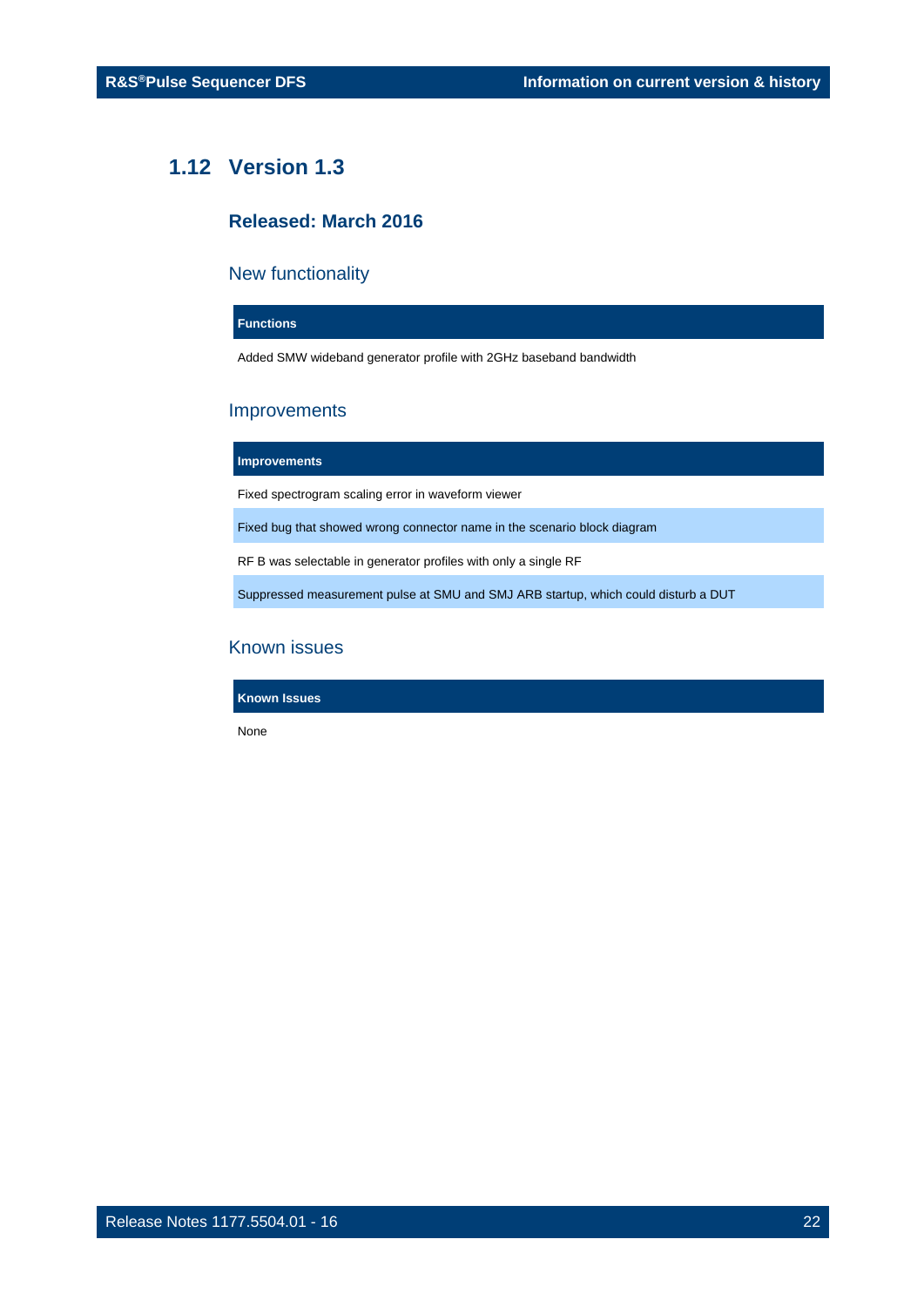## <span id="page-21-0"></span>**1.12 Version 1.3**

## **Released: March 2016**

## New functionality

## **Functions**

Added SMW wideband generator profile with 2GHz baseband bandwidth

## Improvements

#### **Improvements**

Fixed spectrogram scaling error in waveform viewer

Fixed bug that showed wrong connector name in the scenario block diagram

RF B was selectable in generator profiles with only a single RF

Suppressed measurement pulse at SMU and SMJ ARB startup, which could disturb a DUT

## Known issues

**Known Issues**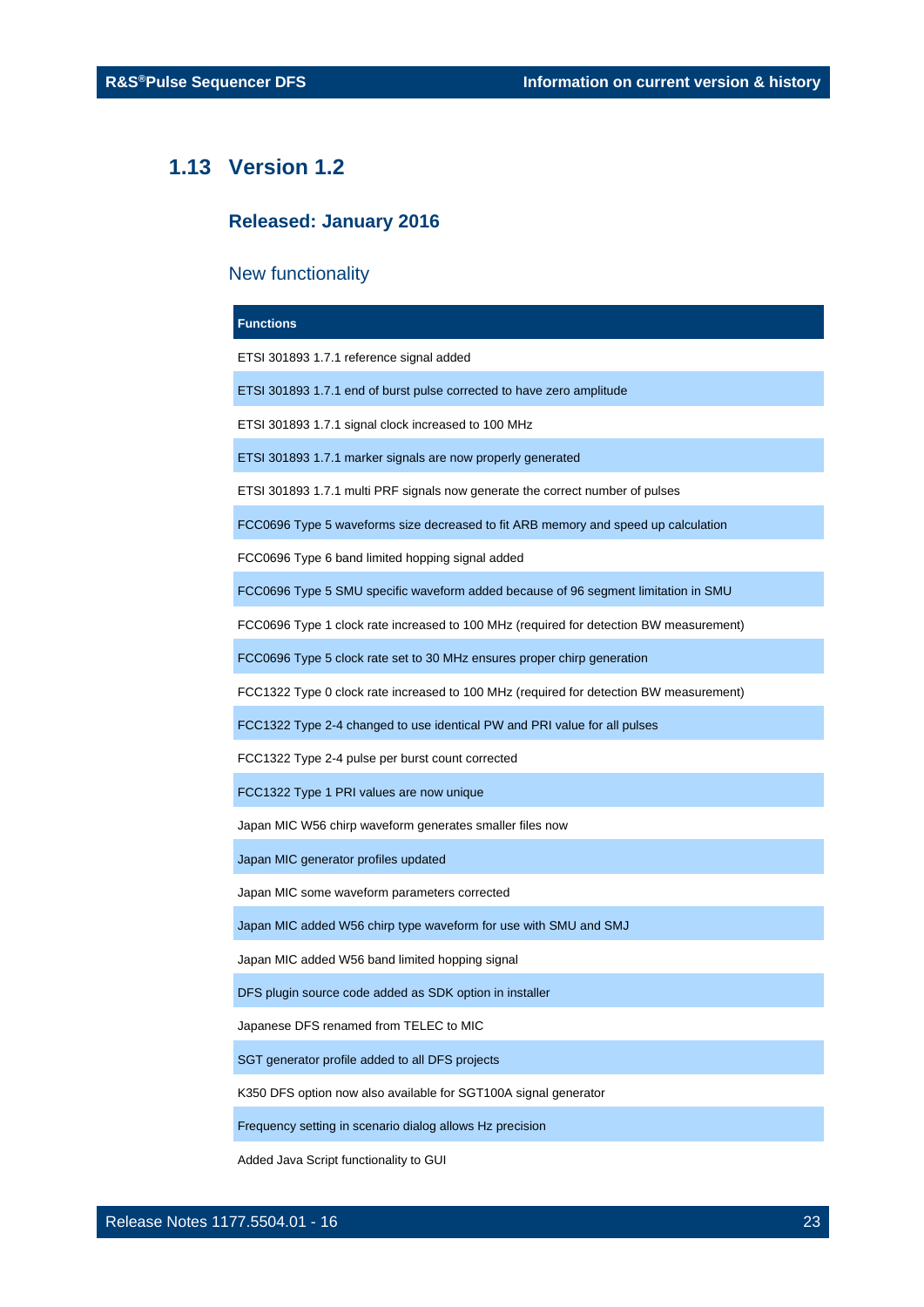## **1.13 Version 1.2**

## <span id="page-22-0"></span>**Released: January 2016**

## New functionality

| <b>Functions</b>                                                                       |  |  |
|----------------------------------------------------------------------------------------|--|--|
| ETSI 301893 1.7.1 reference signal added                                               |  |  |
| ETSI 301893 1.7.1 end of burst pulse corrected to have zero amplitude                  |  |  |
| ETSI 301893 1.7.1 signal clock increased to 100 MHz                                    |  |  |
| ETSI 301893 1.7.1 marker signals are now properly generated                            |  |  |
| ETSI 301893 1.7.1 multi PRF signals now generate the correct number of pulses          |  |  |
| FCC0696 Type 5 waveforms size decreased to fit ARB memory and speed up calculation     |  |  |
| FCC0696 Type 6 band limited hopping signal added                                       |  |  |
| FCC0696 Type 5 SMU specific waveform added because of 96 segment limitation in SMU     |  |  |
| FCC0696 Type 1 clock rate increased to 100 MHz (required for detection BW measurement) |  |  |
| FCC0696 Type 5 clock rate set to 30 MHz ensures proper chirp generation                |  |  |
| FCC1322 Type 0 clock rate increased to 100 MHz (required for detection BW measurement) |  |  |
| FCC1322 Type 2-4 changed to use identical PW and PRI value for all pulses              |  |  |
| FCC1322 Type 2-4 pulse per burst count corrected                                       |  |  |
| FCC1322 Type 1 PRI values are now unique                                               |  |  |
| Japan MIC W56 chirp waveform generates smaller files now                               |  |  |
| Japan MIC generator profiles updated                                                   |  |  |
| Japan MIC some waveform parameters corrected                                           |  |  |
| Japan MIC added W56 chirp type waveform for use with SMU and SMJ                       |  |  |
| Japan MIC added W56 band limited hopping signal                                        |  |  |
| DFS plugin source code added as SDK option in installer                                |  |  |
| Japanese DFS renamed from TELEC to MIC                                                 |  |  |
| SGT generator profile added to all DFS projects                                        |  |  |
| K350 DFS option now also available for SGT100A signal generator                        |  |  |
| Frequency setting in scenario dialog allows Hz precision                               |  |  |

Added Java Script functionality to GUI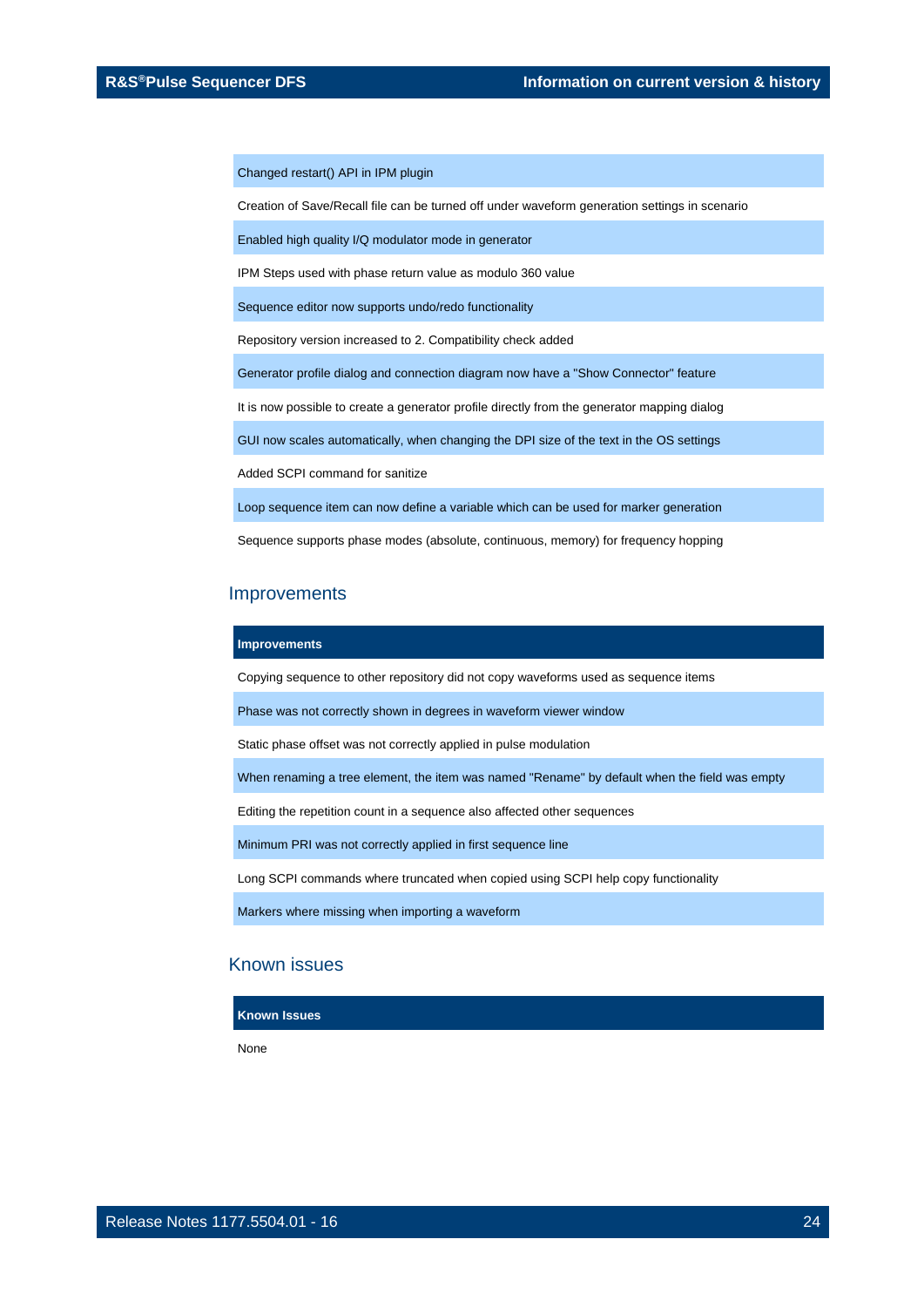Changed restart() API in IPM plugin

Creation of Save/Recall file can be turned off under waveform generation settings in scenario

Enabled high quality I/Q modulator mode in generator

IPM Steps used with phase return value as modulo 360 value

Sequence editor now supports undo/redo functionality

Repository version increased to 2. Compatibility check added

Generator profile dialog and connection diagram now have a "Show Connector" feature

It is now possible to create a generator profile directly from the generator mapping dialog

GUI now scales automatically, when changing the DPI size of the text in the OS settings

Added SCPI command for sanitize

Loop sequence item can now define a variable which can be used for marker generation

Sequence supports phase modes (absolute, continuous, memory) for frequency hopping

#### Improvements

#### **Improvements**

Copying sequence to other repository did not copy waveforms used as sequence items

Phase was not correctly shown in degrees in waveform viewer window

Static phase offset was not correctly applied in pulse modulation

When renaming a tree element, the item was named "Rename" by default when the field was empty

Editing the repetition count in a sequence also affected other sequences

Minimum PRI was not correctly applied in first sequence line

Long SCPI commands where truncated when copied using SCPI help copy functionality

Markers where missing when importing a waveform

## Known issues

#### **Known Issues**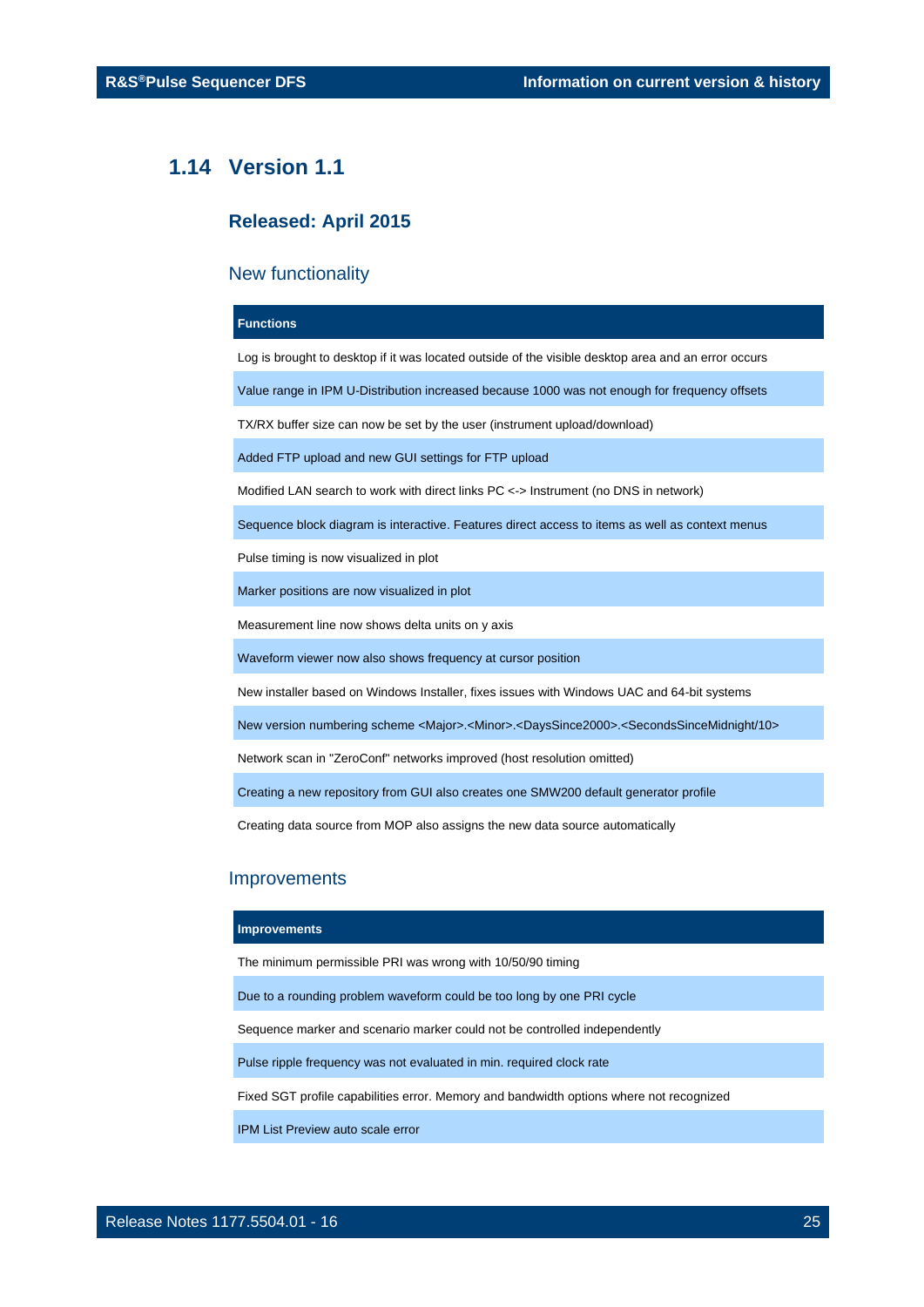## <span id="page-24-0"></span>**1.14 Version 1.1**

## **Released: April 2015**

## New functionality

#### **Functions**

Log is brought to desktop if it was located outside of the visible desktop area and an error occurs

Value range in IPM U-Distribution increased because 1000 was not enough for frequency offsets

TX/RX buffer size can now be set by the user (instrument upload/download)

Added FTP upload and new GUI settings for FTP upload

Modified LAN search to work with direct links PC <-> Instrument (no DNS in network)

Sequence block diagram is interactive. Features direct access to items as well as context menus

Pulse timing is now visualized in plot

Marker positions are now visualized in plot

Measurement line now shows delta units on y axis

Waveform viewer now also shows frequency at cursor position

New installer based on Windows Installer, fixes issues with Windows UAC and 64-bit systems

New version numbering scheme <Major>.<Minor>.<DaysSince2000>.<SecondsSinceMidnight/10>

Network scan in "ZeroConf" networks improved (host resolution omitted)

Creating a new repository from GUI also creates one SMW200 default generator profile

Creating data source from MOP also assigns the new data source automatically

## **Improvements**

#### **Improvements**

The minimum permissible PRI was wrong with 10/50/90 timing

Due to a rounding problem waveform could be too long by one PRI cycle

Sequence marker and scenario marker could not be controlled independently

Pulse ripple frequency was not evaluated in min. required clock rate

Fixed SGT profile capabilities error. Memory and bandwidth options where not recognized

IPM List Preview auto scale error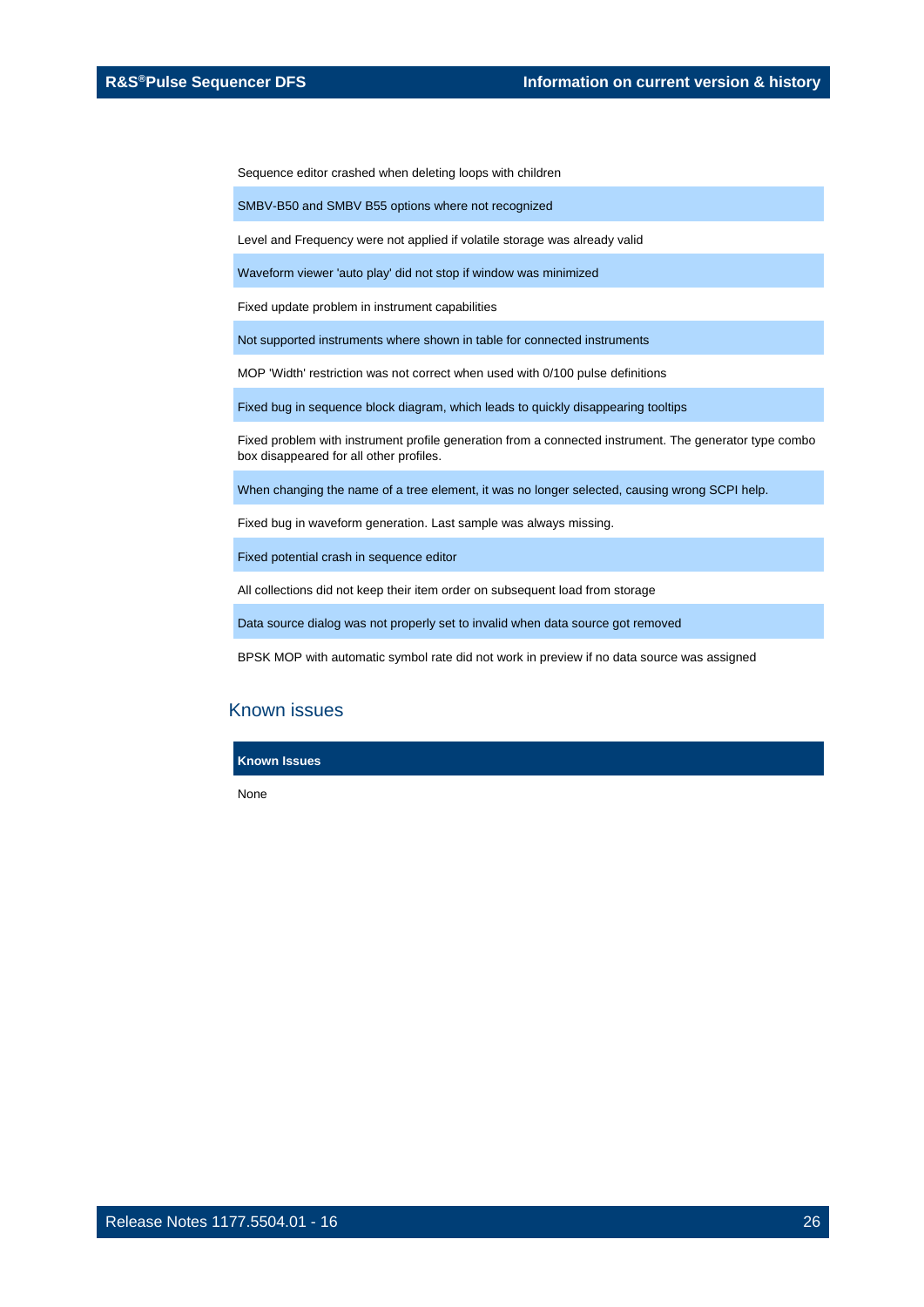Sequence editor crashed when deleting loops with children

SMBV-B50 and SMBV B55 options where not recognized

Level and Frequency were not applied if volatile storage was already valid

Waveform viewer 'auto play' did not stop if window was minimized

Fixed update problem in instrument capabilities

Not supported instruments where shown in table for connected instruments

MOP 'Width' restriction was not correct when used with 0/100 pulse definitions

Fixed bug in sequence block diagram, which leads to quickly disappearing tooltips

Fixed problem with instrument profile generation from a connected instrument. The generator type combo box disappeared for all other profiles.

When changing the name of a tree element, it was no longer selected, causing wrong SCPI help.

Fixed bug in waveform generation. Last sample was always missing.

Fixed potential crash in sequence editor

All collections did not keep their item order on subsequent load from storage

Data source dialog was not properly set to invalid when data source got removed

BPSK MOP with automatic symbol rate did not work in preview if no data source was assigned

## Known issues

**Known Issues**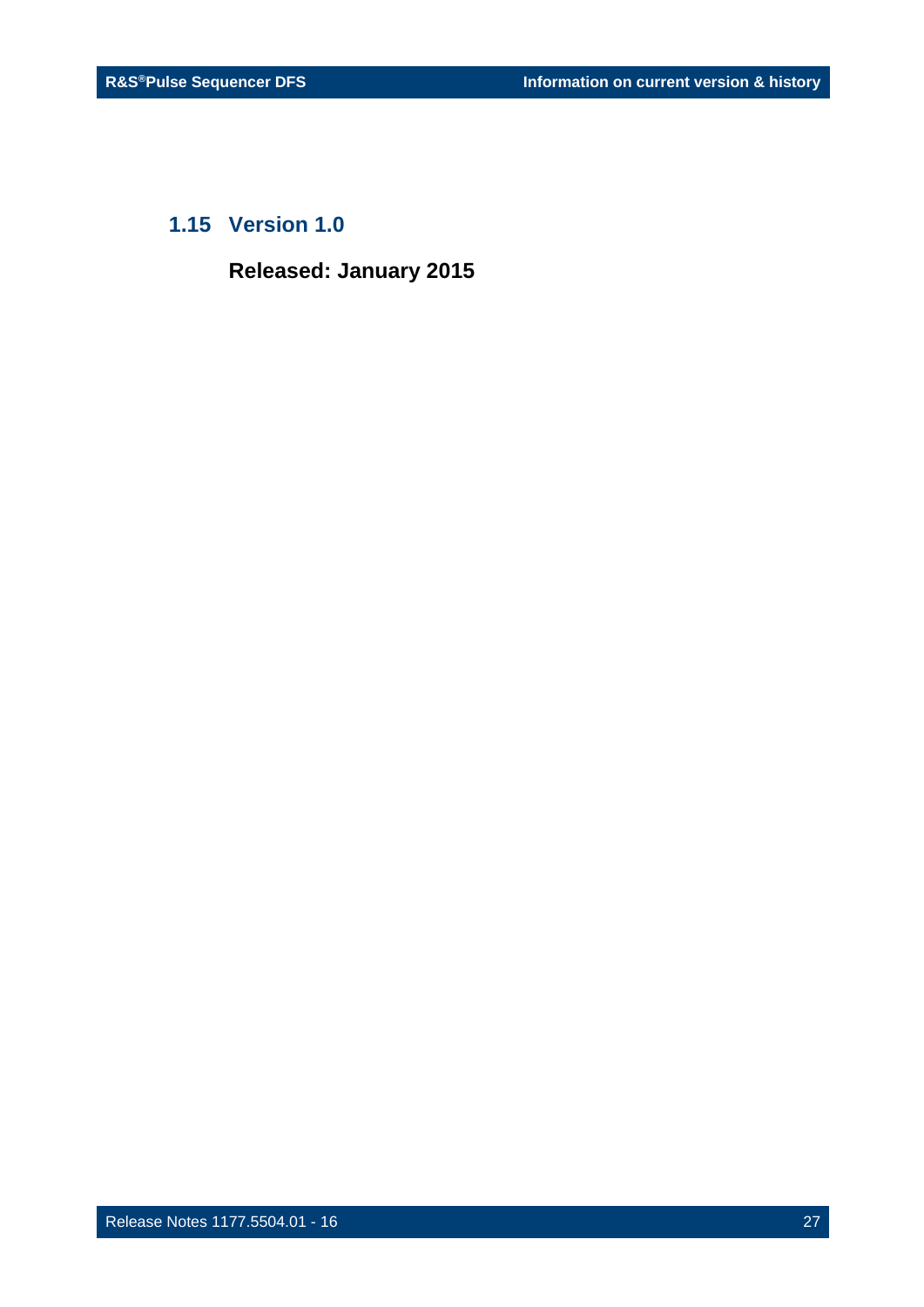## <span id="page-26-0"></span>**1.15 Version 1.0**

**Released: January 2015**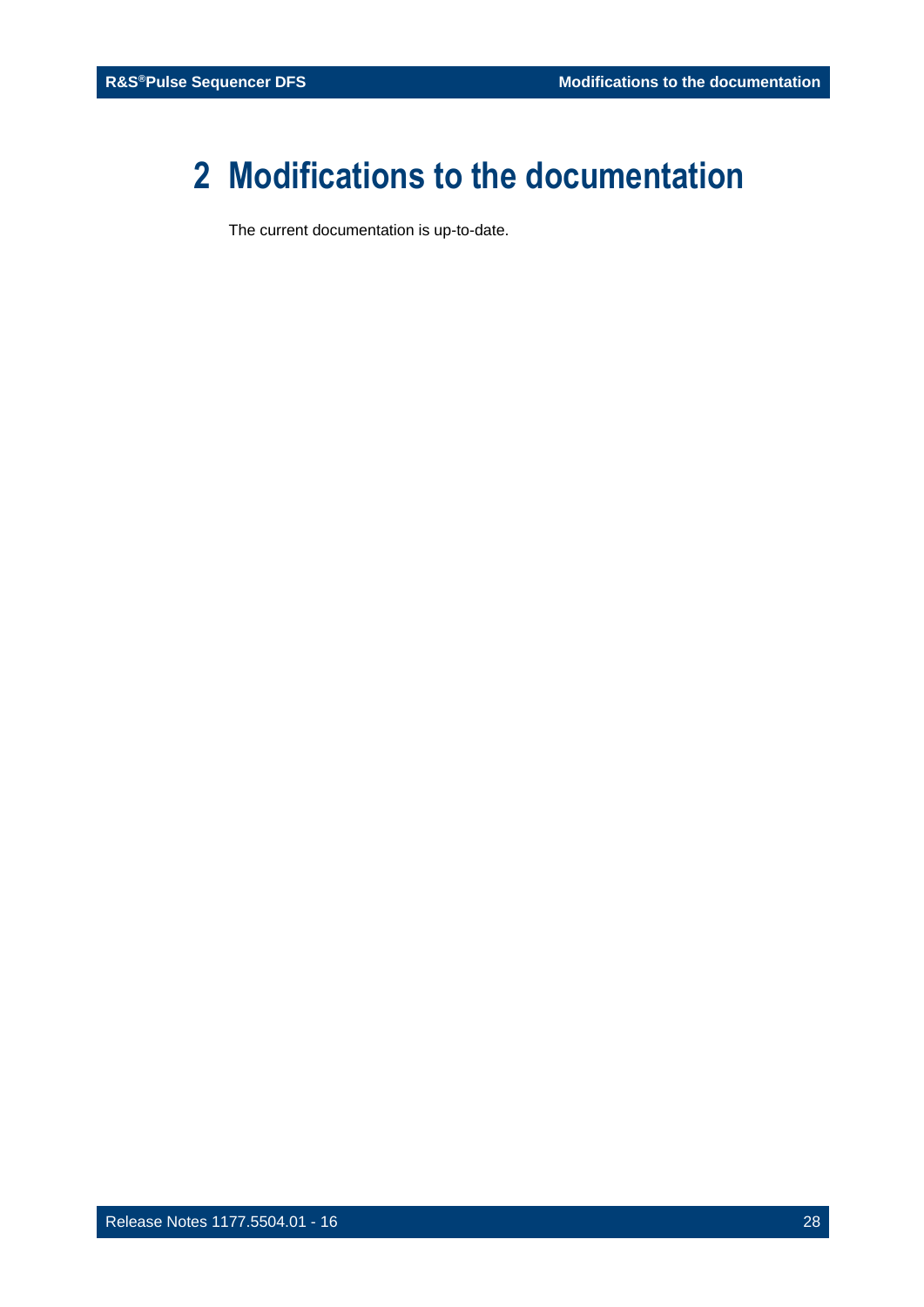# <span id="page-27-0"></span>**2 Modifications to the documentation**

The current documentation is up-to-date.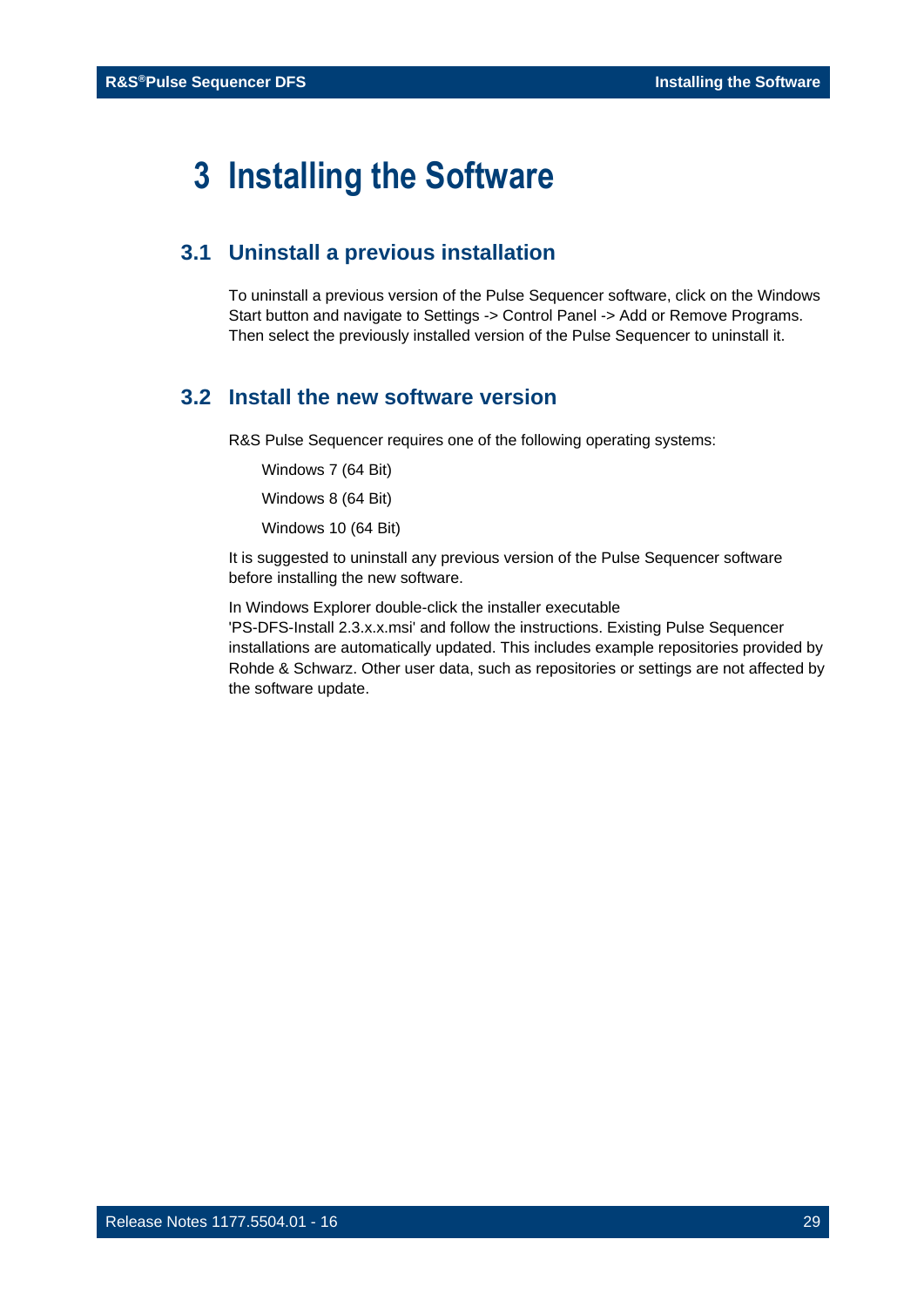# <span id="page-28-0"></span>**3 Installing the Software**

## <span id="page-28-1"></span>**3.1 Uninstall a previous installation**

To uninstall a previous version of the Pulse Sequencer software, click on the Windows Start button and navigate to Settings -> Control Panel -> Add or Remove Programs. Then select the previously installed version of the Pulse Sequencer to uninstall it.

## <span id="page-28-2"></span>**3.2 Install the new software version**

R&S Pulse Sequencer requires one of the following operating systems:

Windows 7 (64 Bit)

Windows 8 (64 Bit)

Windows 10 (64 Bit)

It is suggested to uninstall any previous version of the Pulse Sequencer software before installing the new software.

In Windows Explorer double-click the installer executable

'PS-DFS-Install 2.3.x.x.msi' and follow the instructions. Existing Pulse Sequencer installations are automatically updated. This includes example repositories provided by Rohde & Schwarz. Other user data, such as repositories or settings are not affected by the software update.